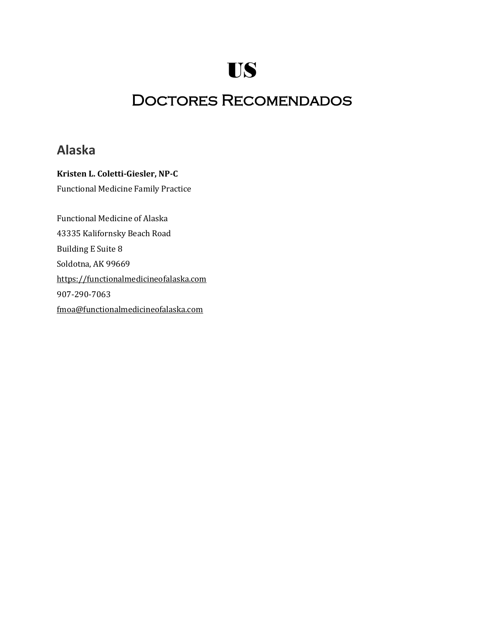# Doctores Recomendados

## **Alaska**

**Kristen L. Coletti-Giesler, NP-C** Functional Medicine Family Practice Functional Medicine of Alaska 43335 Kalifornsky Beach Road Building E Suite 8 Soldotna, AK 99669

[https://functionalmedicineofalaska.com](https://functionalmedicineofalaska.com/)

907-290-7063

[fmoa@functionalmedicineofalaska.com](mailto:fmoa@functionalmedicineofalaska.com)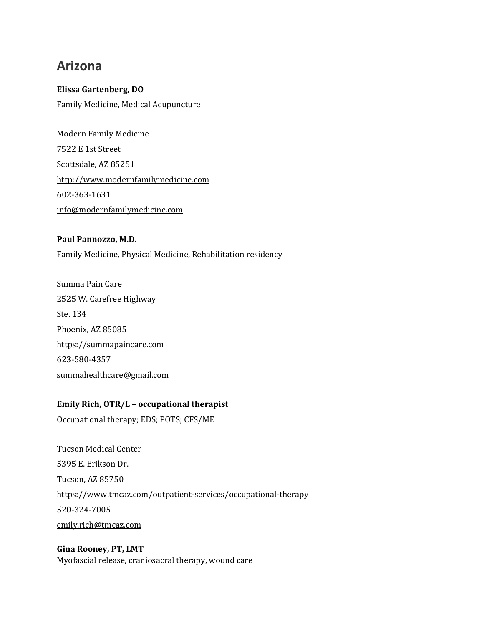# **Arizona**

### **Elissa Gartenberg, DO** Family Medicine, Medical Acupuncture

Modern Family Medicine 7522 E 1st Street Scottsdale, AZ 85251 [http://www.modernfamilymedicine.com](http://www.modernfamilymedicine.com/) 602-363-1631 [info@modernfamilymedicine.com](mailto:info@modernfamilymedicine.com)

### **Paul Pannozzo, M.D.**

Family Medicine, Physical Medicine, Rehabilitation residency

Summa Pain Care 2525 W. Carefree Highway Ste. 134 Phoenix, AZ 85085 [https://summapaincare.com](https://summapaincare.com/) 623-580-4357 [summahealthcare@gmail.com](mailto:summahealthcare@gmail.com)

### **Emily Rich, OTR/L – occupational therapist**

Occupational therapy; EDS; POTS; CFS/ME

Tucson Medical Center 5395 E. Erikson Dr. Tucson, AZ 85750 <https://www.tmcaz.com/outpatient-services/occupational-therapy> 520-324-7005 [emily.rich@tmcaz.com](mailto:emily.rich@tmcaz.com)

### **Gina Rooney, PT, LMT** Myofascial release, craniosacral therapy, wound care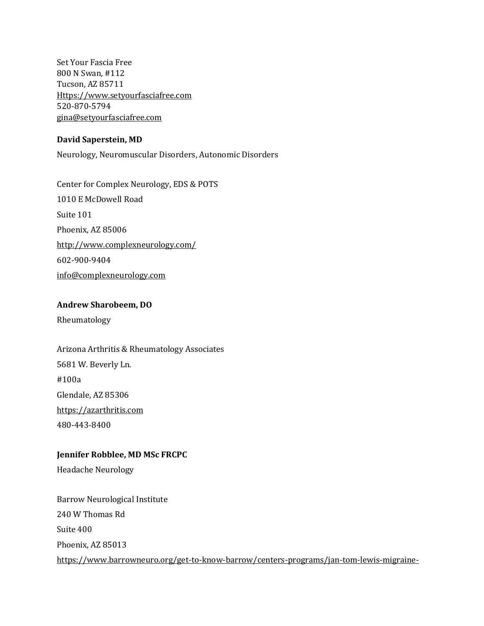Set Your Fascia Free 800 N Swan, #112 Tucson, AZ 85711 [Https://www.setyourfasciafree.com](https://www.setyourfasciafree.com/) 520-870-5794 [gina@setyourfasciafree.com](mailto:gina@setyourfasciafree.com)

#### **David Saperstein, MD**

Neurology, Neuromuscular Disorders, Autonomic Disorders

Center for Complex Neurology, EDS & POTS 1010 E McDowell Road Suite 101 Phoenix, AZ 85006 <http://www.complexneurology.com/> 602-900-9404 [info@complexneurology.com](mailto:info@complexneurology.com)

#### **Andrew Sharobeem, DO**

Rheumatology

Arizona Arthritis & Rheumatology Associates 5681 W. Beverly Ln. #100a Glendale, AZ 85306 [https://azarthritis.com](https://azarthritis.com/) 480-443-8400

#### **Jennifer Robblee, MD MSc FRCPC**

Headache Neurology

Barrow Neurological Institute 240 W Thomas Rd Suite 400 Phoenix, AZ 85013 [https://www.barrowneuro.org/get-to-know-barrow/centers-programs/jan-tom-lewis-migraine-](https://www.barrowneuro.org/get-to-know-barrow/centers-programs/jan-tom-lewis-migraine-treatment-program/)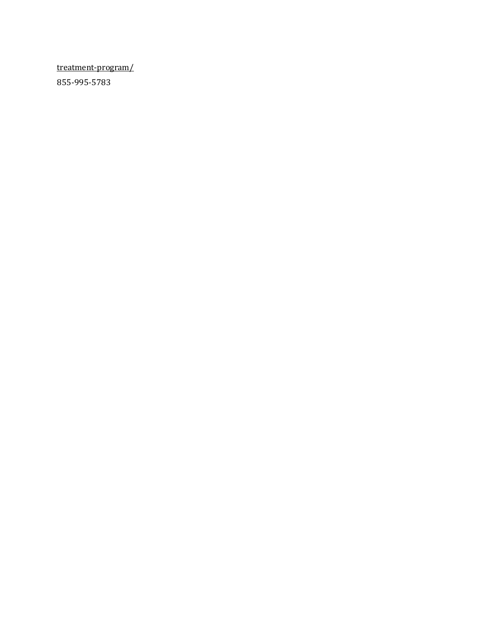[treatment-program/](https://www.barrowneuro.org/get-to-know-barrow/centers-programs/jan-tom-lewis-migraine-treatment-program/) 855-995-5783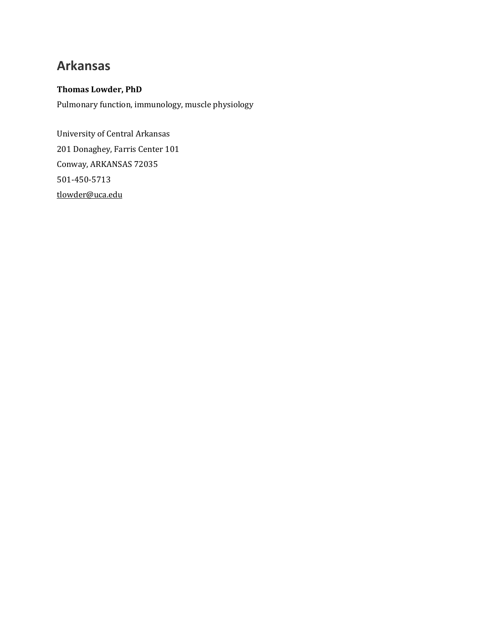# **Arkansas**

### **Thomas Lowder, PhD**

Pulmonary function, immunology, muscle physiology

University of Central Arkansas 201 Donaghey, Farris Center 101 Conway, ARKANSAS 72035 501-450-5713 [tlowder@uca.edu](mailto:tlowder@uca.edu)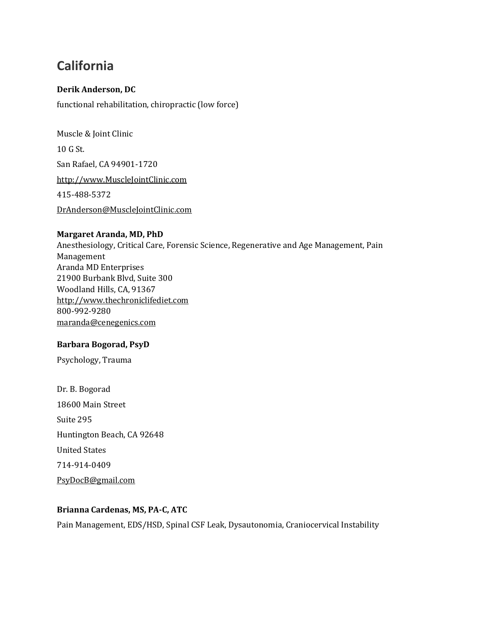# **California**

### **Derik Anderson, DC**

functional rehabilitation, chiropractic (low force)

Muscle & Joint Clinic 10 G St. San Rafael, CA 94901-1720 [http://www.MuscleJointClinic.com](http://www.musclejointclinic.com/) 415-488-5372 [DrAnderson@MuscleJointClinic.com](mailto:DrAnderson@MuscleJointClinic.com)

### **Margaret Aranda, MD, PhD**

Anesthesiology, Critical Care, Forensic Science, Regenerative and Age Management, Pain Management Aranda MD Enterprises 21900 Burbank Blvd, Suite 300 Woodland Hills, CA, 91367 [http://www.thechroniclifediet.com](http://www.thechroniclifediet.com/) 800-992-9280 [maranda@cenegenics.com](mailto:maranda@cenegenics.com)

### **Barbara Bogorad, PsyD**

Psychology, Trauma

Dr. B. Bogorad 18600 Main Street Suite 295 Huntington Beach, CA 92648 United States 714-914-0409 [PsyDocB@gmail.com](mailto:PsyDocB@gmail.com)

### **Brianna Cardenas, MS, PA-C, ATC**

Pain Management, EDS/HSD, Spinal CSF Leak, Dysautonomia, Craniocervical Instability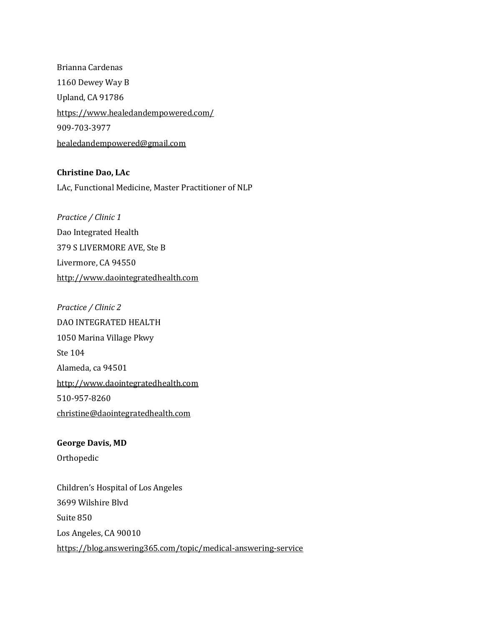Brianna Cardenas 1160 Dewey Way B Upland, CA 91786 <https://www.healedandempowered.com/> 909-703-3977 [healedandempowered@gmail.com](mailto:healedandempowered@gmail.com)

**Christine Dao, LAc**

LAc, Functional Medicine, Master Practitioner of NLP

*Practice / Clinic 1* Dao Integrated Health 379 S LIVERMORE AVE, Ste B Livermore, CA 94550 [http://www.daointegratedhealth.com](http://www.daointegratedhealth.com/)

*Practice / Clinic 2* DAO INTEGRATED HEALTH 1050 Marina Village Pkwy Ste 104 Alameda, ca 94501 [http://www.daointegratedhealth.com](http://www.daointegratedhealth.com/) 510-957-8260 [christine@daointegratedhealth.com](mailto:christine@daointegratedhealth.com)

**George Davis, MD** Orthopedic Children's Hospital of Los Angeles

3699 Wilshire Blvd Suite 850 Los Angeles, CA 90010 <https://blog.answering365.com/topic/medical-answering-service>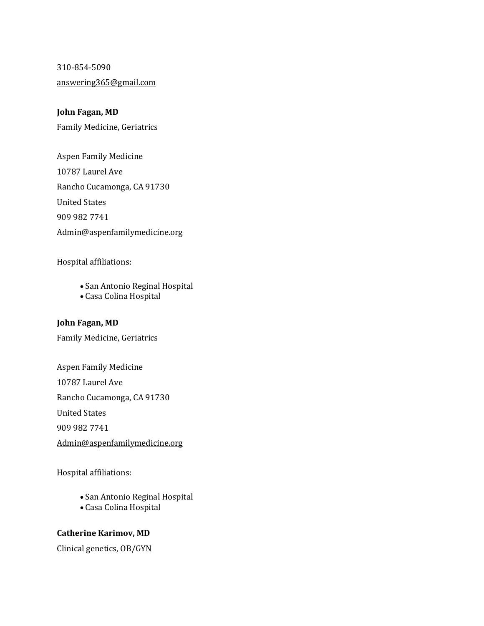310-854-5090 [answering365@gmail.com](mailto:answering365@gmail.com)

### **John Fagan, MD**

Family Medicine, Geriatrics

Aspen Family Medicine 10787 Laurel Ave Rancho Cucamonga, CA 91730 United States 909 982 7741 [Admin@aspenfamilymedicine.org](mailto:Admin@aspenfamilymedicine.org)

Hospital affiliations:

- San Antonio Reginal Hospital
- Casa Colina Hospital

### **John Fagan, MD**

Family Medicine, Geriatrics

Aspen Family Medicine 10787 Laurel Ave Rancho Cucamonga, CA 91730 United States 909 982 7741 [Admin@aspenfamilymedicine.org](mailto:Admin@aspenfamilymedicine.org)

Hospital affiliations:

- San Antonio Reginal Hospital
- Casa Colina Hospital

### **Catherine Karimov, MD**

Clinical genetics, OB/GYN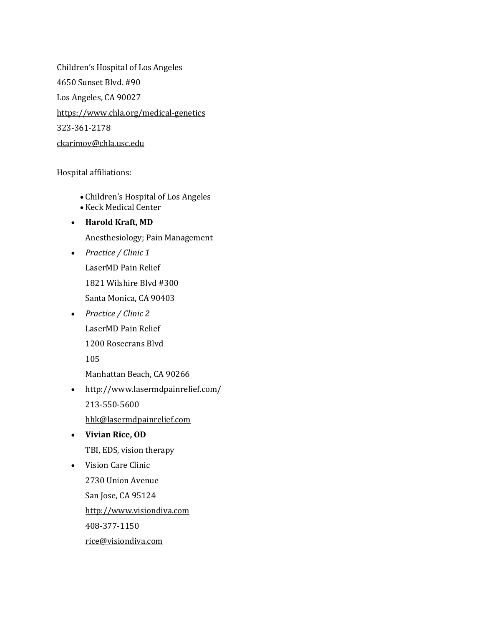Children's Hospital of Los Angeles 4650 Sunset Blvd. #90 Los Angeles, CA 90027 <https://www.chla.org/medical-genetics> 323-361-2178 [ckarimov@chla.usc.edu](mailto:ckarimov@chla.usc.edu)

Hospital affiliations:

- Children's Hospital of Los Angeles
- Keck Medical Center
- **Harold Kraft, MD** Anesthesiology; Pain Management
- *Practice / Clinic 1* LaserMD Pain Relief 1821 Wilshire Blvd #300 Santa Monica, CA 90403
- *Practice / Clinic 2* LaserMD Pain Relief 1200 Rosecrans Blvd 105

Manhattan Beach, CA 90266

- <http://www.lasermdpainrelief.com/> 213-550-5600 [hhk@lasermdpainrelief.com](mailto:hhk@lasermdpainrelief.com)
- **Vivian Rice, OD** TBI, EDS, vision therapy
- Vision Care Clinic 2730 Union Avenue San Jose, CA 95124 [http://www.visiondiva.com](http://www.visiondiva.com/) 408-377-1150 [rice@visiondiva.com](mailto:rice@visiondiva.com)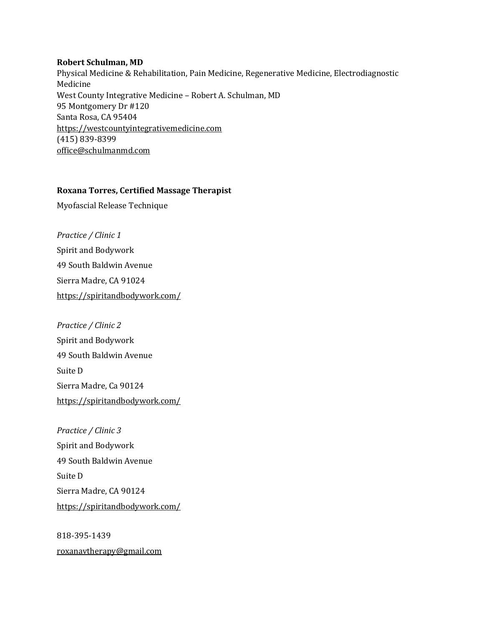#### **Robert Schulman, MD**

Physical Medicine & Rehabilitation, Pain Medicine, Regenerative Medicine, Electrodiagnostic Medicine West County Integrative Medicine – Robert A. Schulman, MD 95 Montgomery Dr #120 Santa Rosa, CA 95404 [https://westcountyintegrativemedicine.com](https://westcountyintegrativemedicine.com/) (415) 839-8399 [office@schulmanmd.com](mailto:office@schulmanmd.com)

### **Roxana Torres, Certified Massage Therapist**

Myofascial Release Technique

*Practice / Clinic 1* Spirit and Bodywork 49 South Baldwin Avenue Sierra Madre, CA 91024 <https://spiritandbodywork.com/>

*Practice / Clinic 2* Spirit and Bodywork 49 South Baldwin Avenue Suite D Sierra Madre, Ca 90124 <https://spiritandbodywork.com/>

*Practice / Clinic 3* Spirit and Bodywork 49 South Baldwin Avenue Suite D Sierra Madre, CA 90124 <https://spiritandbodywork.com/>

818-395-1439 [roxanavtherapy@gmail.com](mailto:roxanavtherapy@gmail.com)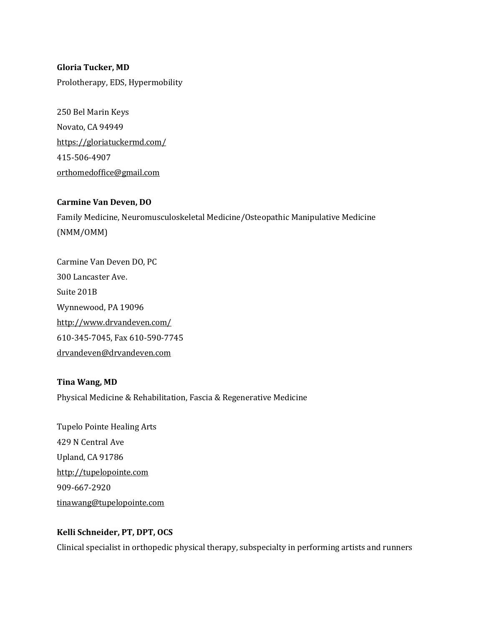## **Gloria Tucker, MD** Prolotherapy, EDS, Hypermobility

250 Bel Marin Keys Novato, CA 94949 <https://gloriatuckermd.com/> 415-506-4907 [orthomedoffice@gmail.com](mailto:orthomedoffice@gmail.com)

### **Carmine Van Deven, DO**

Family Medicine, Neuromusculoskeletal Medicine/Osteopathic Manipulative Medicine (NMM/OMM)

Carmine Van Deven DO, PC 300 Lancaster Ave. Suite 201B Wynnewood, PA 19096 <http://www.drvandeven.com/> 610-345-7045, Fax 610-590-7745 [drvandeven@drvandeven.com](mailto:drvandeven@drvandeven.com)

### **Tina Wang, MD**

Physical Medicine & Rehabilitation, Fascia & Regenerative Medicine

Tupelo Pointe Healing Arts 429 N Central Ave Upland, CA 91786 [http://tupelopointe.com](http://tupelopointe.com/) 909-667-2920 [tinawang@tupelopointe.com](mailto:tinawang@tupelopointe.com)

### **Kelli Schneider, PT, DPT, OCS**

Clinical specialist in orthopedic physical therapy, subspecialty in performing artists and runners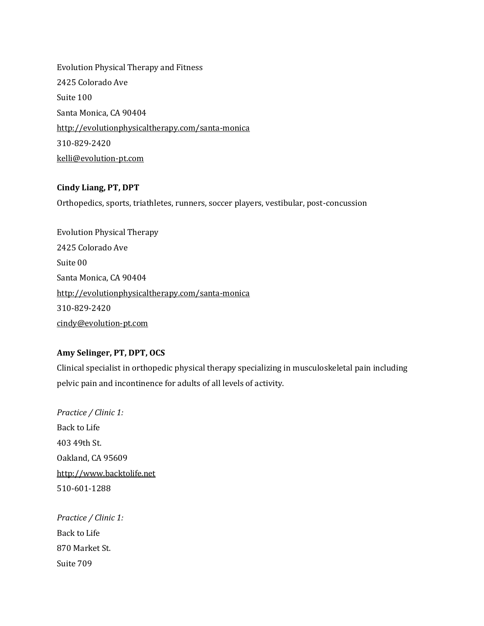Evolution Physical Therapy and Fitness 2425 Colorado Ave Suite 100 Santa Monica, CA 90404 [http://evolutionphysicaltherapy.com/santa-monica](https://www.evolutionphysicaltherapy.com/santa-monica) 310-829-2420 [kelli@evolution-pt.com](mailto:kelli@evolution-pt.com)

### **Cindy Liang, PT, DPT**

Orthopedics, sports, triathletes, runners, soccer players, vestibular, post-concussion

Evolution Physical Therapy 2425 Colorado Ave Suite 00 Santa Monica, CA 90404 [http://evolutionphysicaltherapy.com/santa-monica](https://www.evolutionphysicaltherapy.com/santa-monica) 310-829-2420 [cindy@evolution-pt.com](mailto:cindy@evolution-pt.com)

### **Amy Selinger, PT, DPT, OCS**

Clinical specialist in orthopedic physical therapy specializing in musculoskeletal pain including pelvic pain and incontinence for adults of all levels of activity.

*Practice / Clinic 1:* Back to Life 403 49th St. Oakland, CA 95609 [http://www.backtolife.net](http://www.backtolife.net/) 510-601-1288

*Practice / Clinic 1:* Back to Life 870 Market St. Suite 709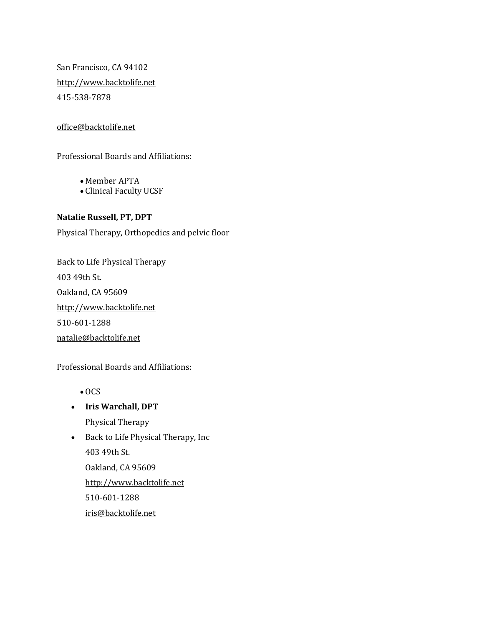San Francisco, CA 94102 [http://www.backtolife.net](http://www.backtolife.net/) 415-538-7878

### [office@backtolife.net](mailto:office@backtolife.net)

Professional Boards and Affiliations:

- Member APTA
- Clinical Faculty UCSF

### **Natalie Russell, PT, DPT**

Physical Therapy, Orthopedics and pelvic floor

Back to Life Physical Therapy 403 49th St. Oakland, CA 95609 [http://www.backtolife.net](http://www.backtolife.net/) 510-601-1288 [natalie@backtolife.net](mailto:natalie@backtolife.net)

Professional Boards and Affiliations:

- OCS
- **Iris Warchall, DPT** Physical Therapy
- Back to Life Physical Therapy, Inc 403 49th St. Oakland, CA 95609 [http://www.backtolife.net](http://www.backtolife.net/) 510-601-1288 [iris@backtolife.net](mailto:iris@backtolife.net)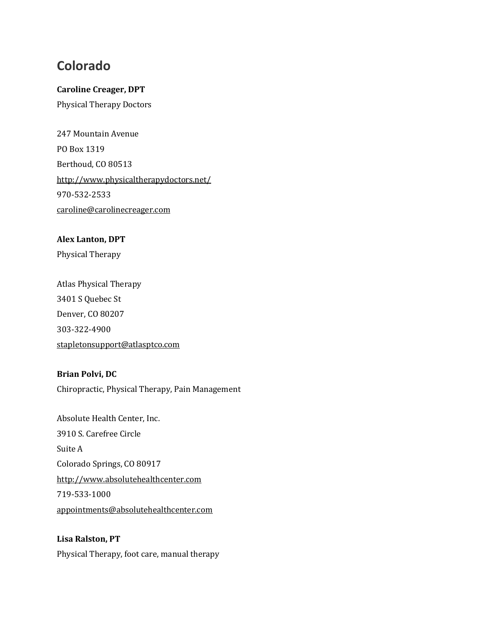## **Colorado**

### **Caroline Creager, DPT**

Physical Therapy Doctors

247 Mountain Avenue PO Box 1319 Berthoud, CO 80513 <http://www.physicaltherapydoctors.net/> 970-532-2533 [caroline@carolinecreager.com](mailto:caroline@carolinecreager.com)

### **Alex Lanton, DPT**

Physical Therapy

Atlas Physical Therapy 3401 S Quebec St Denver, CO 80207 303-322-4900 [stapletonsupport@atlasptco.com](mailto:stapletonsupport@atlasptco.com)

### **Brian Polvi, DC**

Chiropractic, Physical Therapy, Pain Management

Absolute Health Center, Inc. 3910 S. Carefree Circle Suite A Colorado Springs, CO 80917 [http://www.absolutehealthcenter.com](http://www.absolutehealthcenter.com/) 719-533-1000 [appointments@absolutehealthcenter.com](mailto:appointments@absolutehealthcenter.com)

## **Lisa Ralston, PT** Physical Therapy, foot care, manual therapy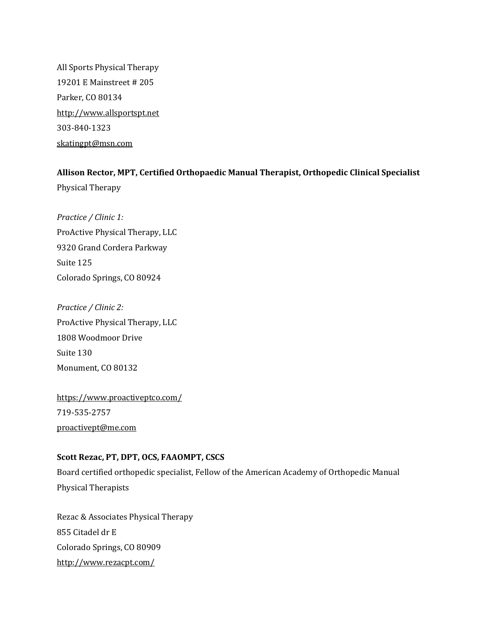All Sports Physical Therapy 19201 E Mainstreet # 205 Parker, CO 80134 [http://www.allsportspt.net](http://www.allsportspt.net/) 303-840-1323 [skatingpt@msn.com](mailto:skatingpt@msn.com)

### **Allison Rector, MPT, Certified Orthopaedic Manual Therapist, Orthopedic Clinical Specialist**

Physical Therapy

*Practice / Clinic 1:* ProActive Physical Therapy, LLC 9320 Grand Cordera Parkway Suite 125 Colorado Springs, CO 80924

*Practice / Clinic 2:* ProActive Physical Therapy, LLC 1808 Woodmoor Drive Suite 130 Monument, CO 80132

<https://www.proactiveptco.com/> 719-535-2757 [proactivept@me.com](mailto:proactivept@me.com)

### **Scott Rezac, PT, DPT, OCS, FAAOMPT, CSCS**

Board certified orthopedic specialist, Fellow of the American Academy of Orthopedic Manual Physical Therapists

Rezac & Associates Physical Therapy 855 Citadel dr E Colorado Springs, CO 80909 <http://www.rezacpt.com/>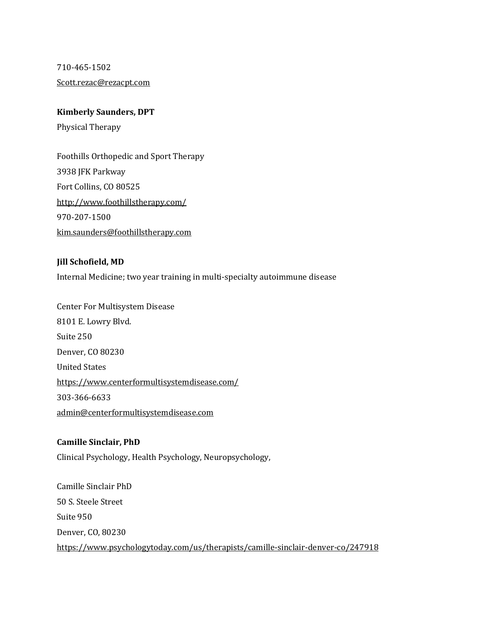710-465-1502

[Scott.rezac@rezacpt.com](mailto:Scott.rezac@rezacpt.com)

### **Kimberly Saunders, DPT**

Physical Therapy

Foothills Orthopedic and Sport Therapy 3938 JFK Parkway Fort Collins, CO 80525 <http://www.foothillstherapy.com/> 970-207-1500 [kim.saunders@foothillstherapy.com](mailto:kim.saunders@foothillstherapy.com)

### **Jill Schofield, MD**

Internal Medicine; two year training in multi-specialty autoimmune disease

Center For Multisystem Disease 8101 E. Lowry Blvd. Suite 250 Denver, CO 80230 United States <https://www.centerformultisystemdisease.com/> 303-366-6633 [admin@centerformultisystemdisease.com](mailto:admin@centerformultisystemdisease.com)

### **Camille Sinclair, PhD**

Clinical Psychology, Health Psychology, Neuropsychology,

Camille Sinclair PhD 50 S. Steele Street Suite 950 Denver, CO, 80230 <https://www.psychologytoday.com/us/therapists/camille-sinclair-denver-co/247918>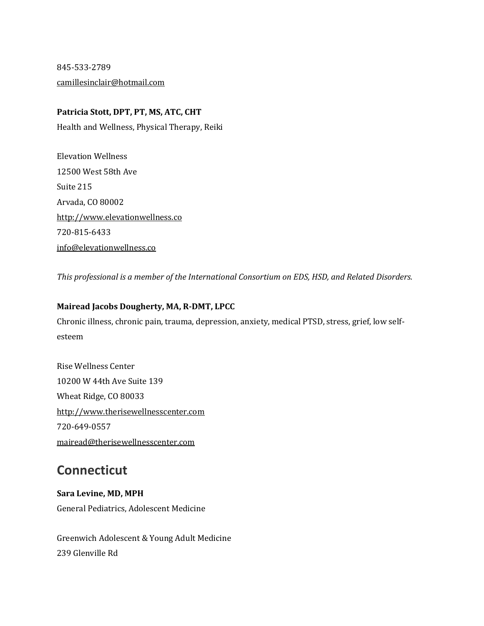845-533-2789 [camillesinclair@hotmail.com](mailto:camillesinclair@hotmail.com)

### **Patricia Stott, DPT, PT, MS, ATC, CHT**

Health and Wellness, Physical Therapy, Reiki

Elevation Wellness 12500 West 58th Ave Suite 215 Arvada, CO 80002 [http://www.elevationwellness.co](http://www.elevationwellness.co/) 720-815-6433 [info@elevationwellness.co](mailto:info@elevationwellness.co)

*This professional is a member of the International Consortium on EDS, HSD, and Related Disorders.*

### **Mairead Jacobs Dougherty, MA, R-DMT, LPCC**

Chronic illness, chronic pain, trauma, depression, anxiety, medical PTSD, stress, grief, low selfesteem

Rise Wellness Center 10200 W 44th Ave Suite 139 Wheat Ridge, CO 80033 [http://www.therisewellnesscenter.com](http://www.therisewellnesscenter.com/) 720-649-0557 [mairead@therisewellnesscenter.com](mailto:mairead@therisewellnesscenter.com)

# **Connecticut**

**Sara Levine, MD, MPH** General Pediatrics, Adolescent Medicine

Greenwich Adolescent & Young Adult Medicine 239 Glenville Rd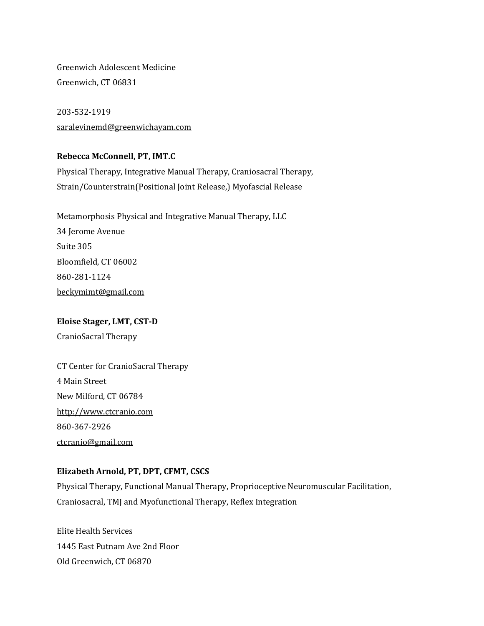Greenwich Adolescent Medicine Greenwich, CT 06831

203-532-1919 [saralevinemd@greenwichayam.com](mailto:saralevinemd@greenwichayam.com)

### **Rebecca McConnell, PT, IMT.C**

Physical Therapy, Integrative Manual Therapy, Craniosacral Therapy, Strain/Counterstrain(Positional Joint Release,) Myofascial Release

Metamorphosis Physical and Integrative Manual Therapy, LLC 34 Jerome Avenue Suite 305 Bloomfield, CT 06002 860-281-1124 [beckymimt@gmail.com](mailto:beckymimt@gmail.com)

## **Eloise Stager, LMT, CST-D**

CranioSacral Therapy

CT Center for CranioSacral Therapy 4 Main Street New Milford, CT 06784 [http://www.ctcranio.com](http://www.ctcranio.com/) 860-367-2926 [ctcranio@gmail.com](mailto:ctcranio@gmail.com)

### **Elizabeth Arnold, PT, DPT, CFMT, CSCS**

Physical Therapy, Functional Manual Therapy, Proprioceptive Neuromuscular Facilitation, Craniosacral, TMJ and Myofunctional Therapy, Reflex Integration

Elite Health Services 1445 East Putnam Ave 2nd Floor Old Greenwich, CT 06870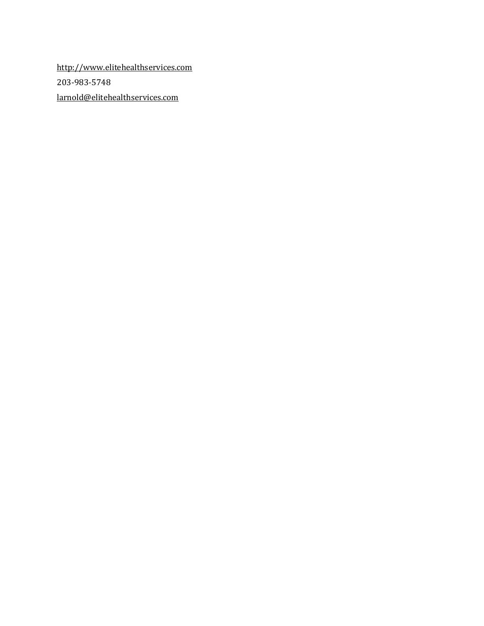[http://www.elitehealthservices.com](http://www.elitehealthservices.com/) 203-983-5748 [larnold@elitehealthservices.com](mailto:larnold@elitehealthservices.com)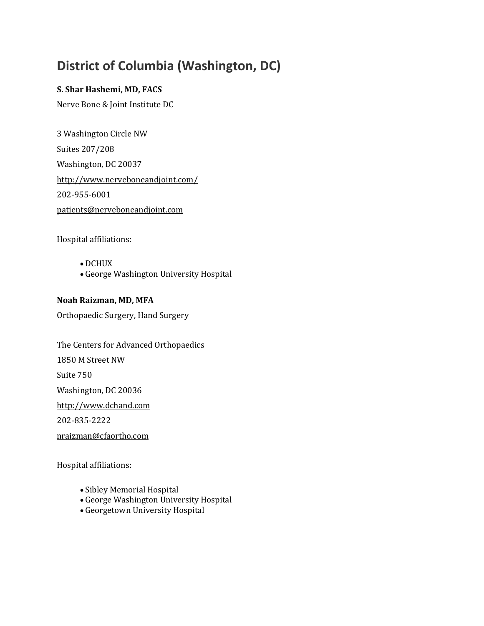# **District of Columbia (Washington, DC)**

### **S. Shar Hashemi, MD, FACS**

Nerve Bone & Joint Institute DC

3 Washington Circle NW Suites 207/208 Washington, DC 20037 <http://www.nerveboneandjoint.com/> 202-955-6001 [patients@nerveboneandjoint.com](mailto:patients@nerveboneandjoint.com)

Hospital affiliations:

- DCHUX
- George Washington University Hospital

### **Noah Raizman, MD, MFA**

Orthopaedic Surgery, Hand Surgery

The Centers for Advanced Orthopaedics 1850 M Street NW Suite 750 Washington, DC 20036 [http://www.dchand.com](http://www.dchand.com/) 202-835-2222

[nraizman@cfaortho.com](mailto:nraizman@cfaortho.com)

Hospital affiliations:

- Sibley Memorial Hospital
- George Washington University Hospital
- Georgetown University Hospital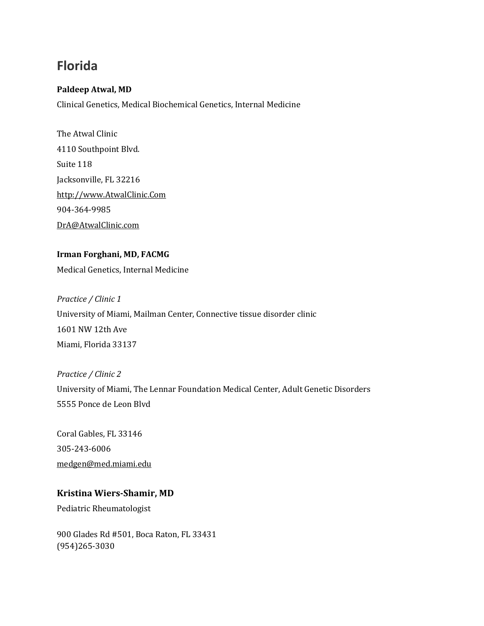# **Florida**

### **Paldeep Atwal, MD**

Clinical Genetics, Medical Biochemical Genetics, Internal Medicine

The Atwal Clinic 4110 Southpoint Blvd. Suite 118 Jacksonville, FL 32216 [http://www.AtwalClinic.Com](http://www.atwalclinic.com/) 904-364-9985 [DrA@AtwalClinic.com](mailto:DrA@AtwalClinic.com)

# **Irman Forghani, MD, FACMG**

Medical Genetics, Internal Medicine

## *Practice / Clinic 1* University of Miami, Mailman Center, Connective tissue disorder clinic 1601 NW 12th Ave Miami, Florida 33137

*Practice / Clinic 2* University of Miami, The Lennar Foundation Medical Center, Adult Genetic Disorders 5555 Ponce de Leon Blvd

Coral Gables, FL 33146 305-243-6006 [medgen@med.miami.edu](mailto:medgen@med.miami.edu)

## **Kristina Wiers-Shamir, MD**

Pediatric Rheumatologist

900 Glades Rd #501, Boca Raton, FL 33431 (954)265-3030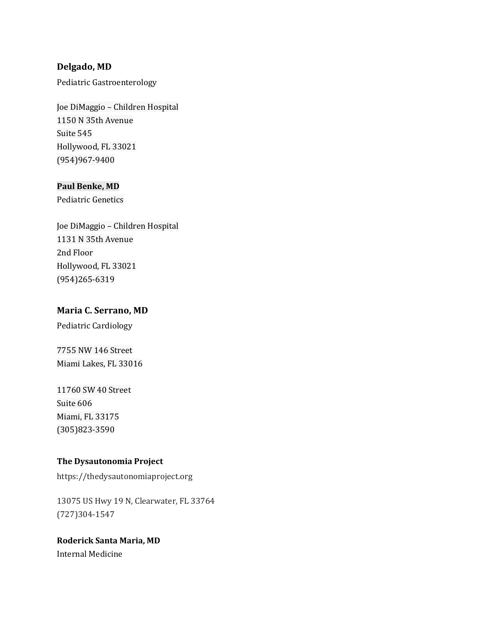### **Delgado, MD**

Pediatric Gastroenterology

Joe DiMaggio – Children Hospital 1150 N 35th Avenue Suite 545 Hollywood, FL 33021 (954)967-9400

### **Paul Benke, MD**

Pediatric Genetics

Joe DiMaggio – Children Hospital 1131 N 35th Avenue 2nd Floor Hollywood, FL 33021 (954)265-6319

### **Maria C. Serrano, MD**

Pediatric Cardiology

7755 NW 146 Street Miami Lakes, FL 33016

### 11760 SW 40 Street

Suite 606 Miami, FL 33175 (305)823-3590

### **The Dysautonomia Project**

https://thedysautonomiaproject.org

13075 US Hwy 19 N, Clearwater, FL 33764 (727)304-1547

## **Roderick Santa Maria, MD**

Internal Medicine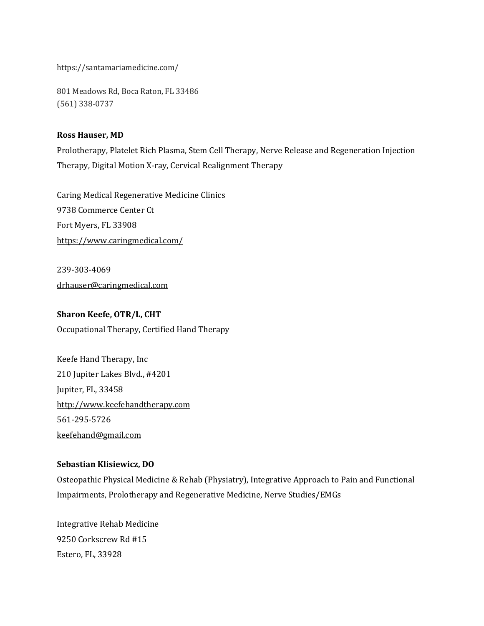https://santamariamedicine.com/

801 Meadows Rd, Boca Raton, FL 33486 (561) 338-0737

### **Ross Hauser, MD**

Prolotherapy, Platelet Rich Plasma, Stem Cell Therapy, Nerve Release and Regeneration Injection Therapy, Digital Motion X-ray, Cervical Realignment Therapy

Caring Medical Regenerative Medicine Clinics 9738 Commerce Center Ct Fort Myers, FL 33908 <https://www.caringmedical.com/>

239-303-4069 [drhauser@caringmedical.com](mailto:drhauser@caringmedical.com)

### **Sharon Keefe, OTR/L, CHT**

Occupational Therapy, Certified Hand Therapy

Keefe Hand Therapy, Inc 210 Jupiter Lakes Blvd., #4201 Jupiter, FL, 33458 [http://www.keefehandtherapy.com](http://www.keefehandtherapy.com/) 561-295-5726 [keefehand@gmail.com](mailto:keefehand@gmail.com)

### **Sebastian Klisiewicz, DO**

Osteopathic Physical Medicine & Rehab (Physiatry), Integrative Approach to Pain and Functional Impairments, Prolotherapy and Regenerative Medicine, Nerve Studies/EMGs

Integrative Rehab Medicine 9250 Corkscrew Rd #15 Estero, FL, 33928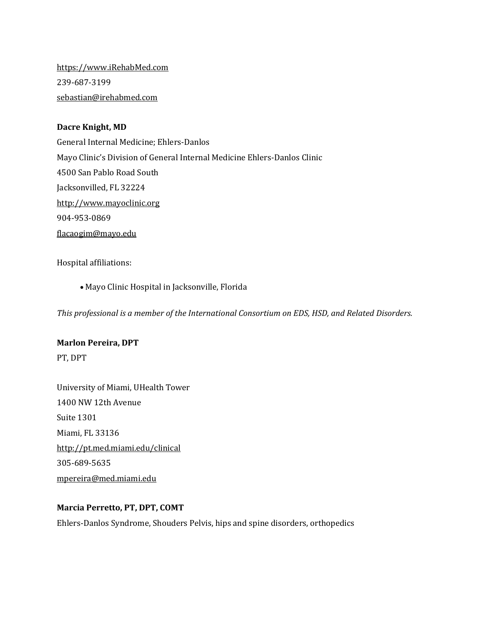[https://www.iRehabMed.com](https://www.irehabmed.com/) 239-687-3199 [sebastian@irehabmed.com](mailto:sebastian@irehabmed.com)

### **Dacre Knight, MD**

General Internal Medicine; Ehlers-Danlos Mayo Clinic's Division of General Internal Medicine Ehlers-Danlos Clinic 4500 San Pablo Road South Jacksonvilled, FL 32224 [http://www.mayoclinic.org](http://www.mayoclinic.org/) 904-953-0869 [flacaogim@mayo.edu](mailto:flacaogim@mayo.edu)

Hospital affiliations:

• Mayo Clinic Hospital in Jacksonville, Florida

*This professional is a member of the International Consortium on EDS, HSD, and Related Disorders.*

#### **Marlon Pereira, DPT**

PT, DPT

University of Miami, UHealth Tower 1400 NW 12th Avenue Suite 1301 Miami, FL 33136 <http://pt.med.miami.edu/clinical> 305-689-5635 [mpereira@med.miami.edu](mailto:mpereira@med.miami.edu)

### **Marcia Perretto, PT, DPT, COMT**

Ehlers-Danlos Syndrome, Shouders Pelvis, hips and spine disorders, orthopedics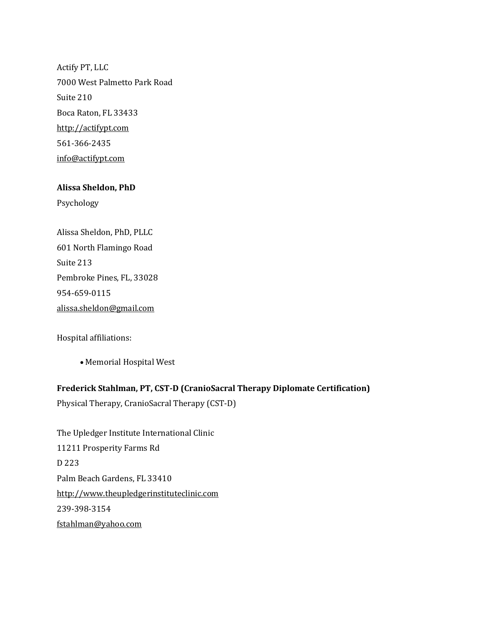Actify PT, LLC 7000 West Palmetto Park Road Suite 210 Boca Raton, FL 33433 [http://actifypt.com](http://actifypt.com/) 561-366-2435 [info@actifypt.com](mailto:info@actifypt.com)

### **Alissa Sheldon, PhD**

Psychology

| Alissa Sheldon, PhD, PLLC       |
|---------------------------------|
| 601 North Flamingo Road         |
| Suite 213                       |
| Pembroke Pines, FL, 33028       |
| 954-659-0115                    |
| <u>alissa.sheldon@gmail.com</u> |

Hospital affiliations:

• Memorial Hospital West

### **Frederick Stahlman, PT, CST-D (CranioSacral Therapy Diplomate Certification)**

Physical Therapy, CranioSacral Therapy (CST-D)

The Upledger Institute International Clinic 11211 Prosperity Farms Rd D 223 Palm Beach Gardens, FL 33410 [http://www.theupledgerinstituteclinic.com](http://www.theupledgerinstituteclinic.com/) 239-398-3154 [fstahlman@yahoo.com](mailto:fstahlman@yahoo.com)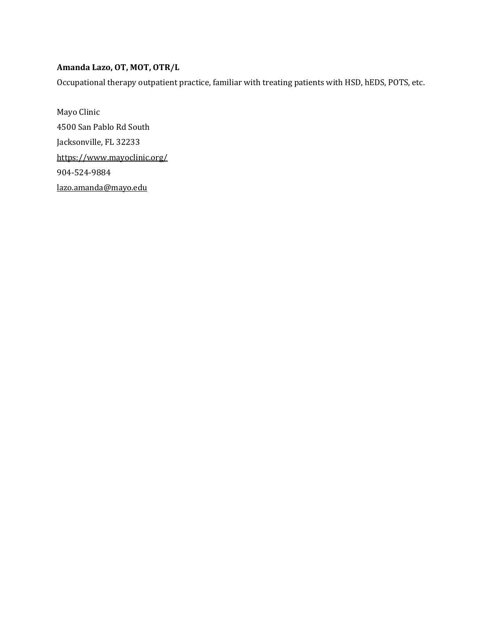### **Amanda Lazo, OT, MOT, OTR/L**

Occupational therapy outpatient practice, familiar with treating patients with HSD, hEDS, POTS, etc.

Mayo Clinic 4500 San Pablo Rd South Jacksonville, FL 32233 <https://www.mayoclinic.org/> 904-524-9884 [lazo.amanda@mayo.edu](mailto:lazo.amanda@mayo.edu)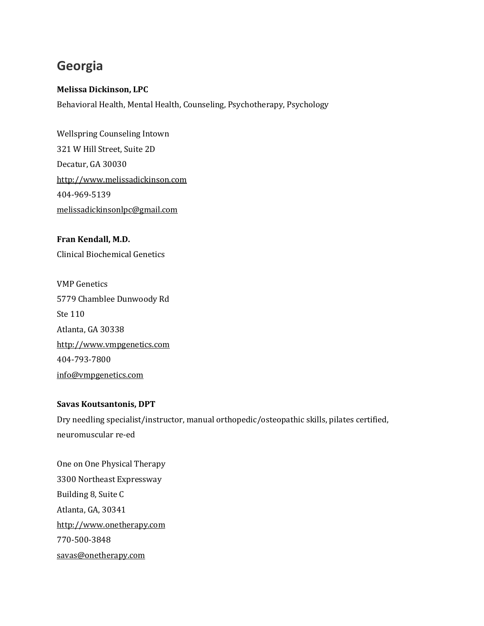# **Georgia**

### **Melissa Dickinson, LPC**

Behavioral Health, Mental Health, Counseling, Psychotherapy, Psychology

Wellspring Counseling Intown 321 W Hill Street, Suite 2D Decatur, GA 30030 [http://www.melissadickinson.com](http://www.melissadickinson.com/) 404-969-5139 [melissadickinsonlpc@gmail.com](mailto:melissadickinsonlpc@gmail.com)

**Fran Kendall, M.D.** Clinical Biochemical Genetics

VMP Genetics 5779 Chamblee Dunwoody Rd Ste 110 Atlanta, GA 30338 [http://www.vmpgenetics.com](http://www.vmpgenetics.com/) 404-793-7800 [info@vmpgenetics.com](mailto:info@vmpgenetics.com)

### **Savas Koutsantonis, DPT**

Dry needling specialist/instructor, manual orthopedic/osteopathic skills, pilates certified, neuromuscular re-ed

One on One Physical Therapy 3300 Northeast Expressway Building 8, Suite C Atlanta, GA, 30341 [http://www.onetherapy.com](http://www.onetherapy.com/) 770-500-3848 [savas@onetherapy.com](mailto:savas@onetherapy.com)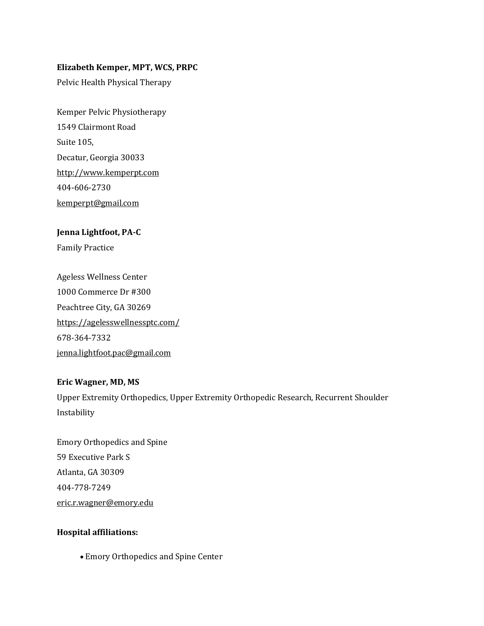### **Elizabeth Kemper, MPT, WCS, PRPC**

Pelvic Health Physical Therapy

Kemper Pelvic Physiotherapy 1549 Clairmont Road Suite 105, Decatur, Georgia 30033 [http://www.kemperpt.com](http://kemperpt.com/) 404-606-2730 [kemperpt@gmail.com](mailto:kemperpt@gmail.com)

# **Jenna Lightfoot, PA-C**

Family Practice

Ageless Wellness Center 1000 Commerce Dr #300 Peachtree City, GA 30269 <https://agelesswellnessptc.com/> 678-364-7332 [jenna.lightfoot.pac@gmail.com](mailto:jenna.lightfoot.pac@gmail.com)

### **Eric Wagner, MD, MS**

Upper Extremity Orthopedics, Upper Extremity Orthopedic Research, Recurrent Shoulder Instability

Emory Orthopedics and Spine 59 Executive Park S Atlanta, GA 30309 404-778-7249 [eric.r.wagner@emory.edu](mailto:eric.r.wagner@emory.edu)

### **Hospital affiliations:**

• Emory Orthopedics and Spine Center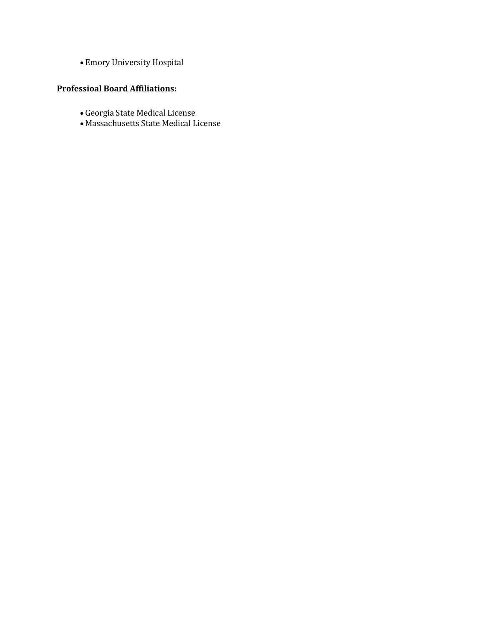• Emory University Hospital

### **Professioal Board Affiliations:**

- Georgia State Medical License
- Massachusetts State Medical License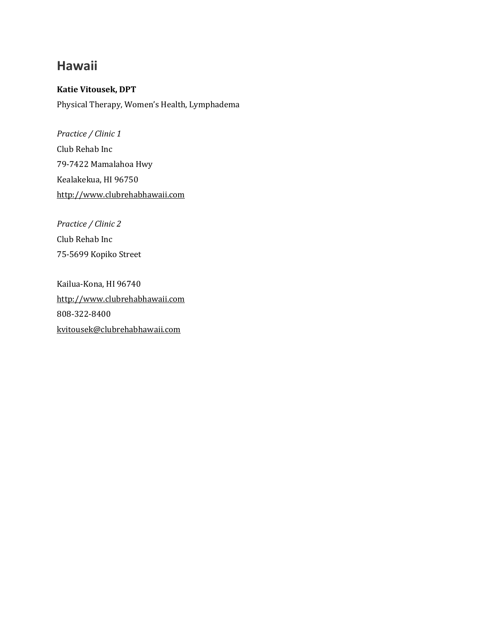## **Hawaii**

### **Katie Vitousek, DPT**

Physical Therapy, Women's Health, Lymphadema

*Practice / Clinic 1* Club Rehab Inc 79-7422 Mamalahoa Hwy Kealakekua, HI 96750 [http://www.clubrehabhawaii.com](http://www.clubrehabhawaii.com/)

*Practice / Clinic 2* Club Rehab Inc 75-5699 Kopiko Street

Kailua-Kona, HI 96740 [http://www.clubrehabhawaii.com](http://www.clubrehabhawaii.com/) 808-322-8400 [kvitousek@clubrehabhawaii.com](mailto:kvitousek@clubrehabhawaii.com)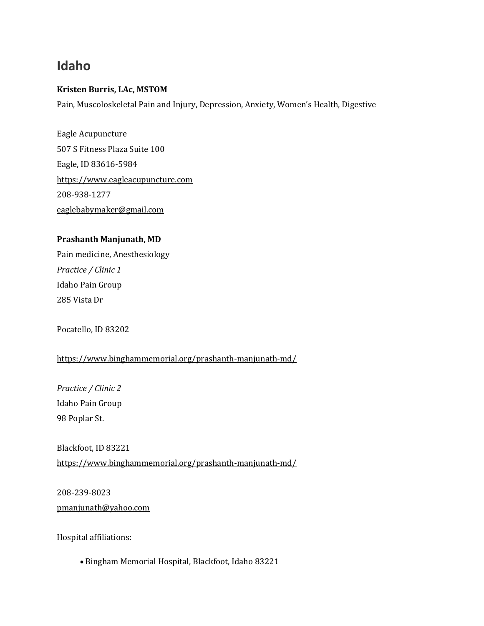## **Idaho**

### **Kristen Burris, LAc, MSTOM**

Pain, Muscoloskeletal Pain and Injury, Depression, Anxiety, Women's Health, Digestive

Eagle Acupuncture 507 S Fitness Plaza Suite 100 Eagle, ID 83616-5984 [https://www.eagleacupuncture.com](https://www.eagleacupuncture.com/) 208-938-1277 [eaglebabymaker@gmail.com](mailto:eaglebabymaker@gmail.com)

### **Prashanth Manjunath, MD**

Pain medicine, Anesthesiology *Practice / Clinic 1* Idaho Pain Group 285 Vista Dr

Pocatello, ID 83202

<https://www.binghammemorial.org/prashanth-manjunath-md/>

*Practice / Clinic 2* Idaho Pain Group 98 Poplar St.

Blackfoot, ID 83221 <https://www.binghammemorial.org/prashanth-manjunath-md/>

208-239-8023 [pmanjunath@yahoo.com](mailto:pmanjunath@yahoo.com)

Hospital affiliations:

• Bingham Memorial Hospital, Blackfoot, Idaho 83221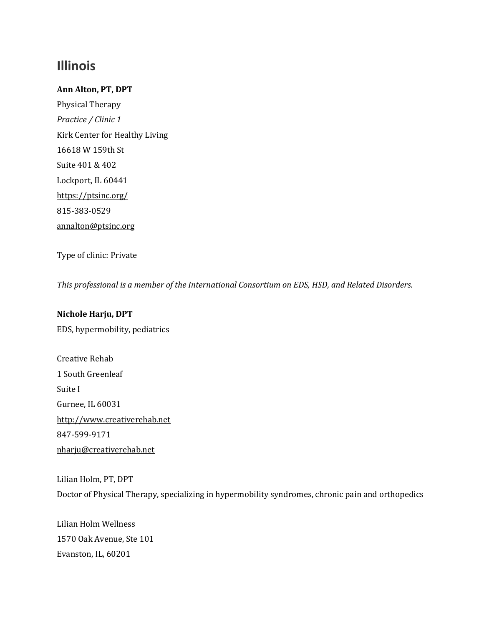## **Illinois**

### **Ann Alton, PT, DPT**

Physical Therapy *Practice / Clinic 1* Kirk Center for Healthy Living 16618 W 159th St Suite 401 & 402 Lockport, IL 60441 <https://ptsinc.org/> 815-383-0529 [annalton@ptsinc.org](mailto:annalton@ptsinc.org)

Type of clinic: Private

*This professional is a member of the International Consortium on EDS, HSD, and Related Disorders.*

### **Nichole Harju, DPT**

EDS, hypermobility, pediatrics

Creative Rehab 1 South Greenleaf Suite I Gurnee, IL 60031 [http://www.creativerehab.net](http://www.creativerehab.net/) 847-599-9171 [nharju@creativerehab.net](mailto:nharju@creativerehab.net)

Lilian Holm, PT, DPT Doctor of Physical Therapy, specializing in hypermobility syndromes, chronic pain and orthopedics

Lilian Holm Wellness 1570 Oak Avenue, Ste 101 Evanston, IL, 60201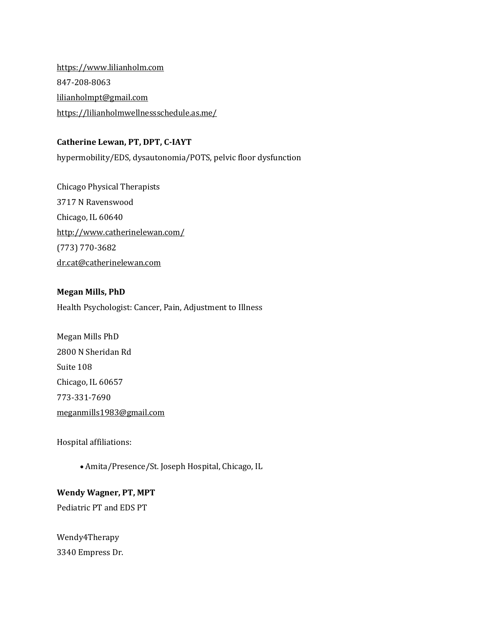[https://www.lilianholm.com](https://www.lilianholm.com/) 847-208-8063 [lilianholmpt@gmail.com](mailto:lilianholmpt@gmail.com) <https://lilianholmwellnessschedule.as.me/>

### **Catherine Lewan, PT, DPT, C-IAYT**

hypermobility/EDS, dysautonomia/POTS, pelvic floor dysfunction

Chicago Physical Therapists 3717 N Ravenswood Chicago, IL 60640 <http://www.catherinelewan.com/> (773) 770-3682 [dr.cat@catherinelewan.com](mailto:dr.cat@catherinelewan.com)

### **Megan Mills, PhD**

Health Psychologist: Cancer, Pain, Adjustment to Illness

Megan Mills PhD 2800 N Sheridan Rd Suite 108 Chicago, IL 60657 773-331-7690 [meganmills1983@gmail.com](mailto:meganmills1983@gmail.com)

Hospital affiliations:

• Amita/Presence/St. Joseph Hospital, Chicago, IL

#### **Wendy Wagner, PT, MPT**

Pediatric PT and EDS PT

Wendy4Therapy 3340 Empress Dr.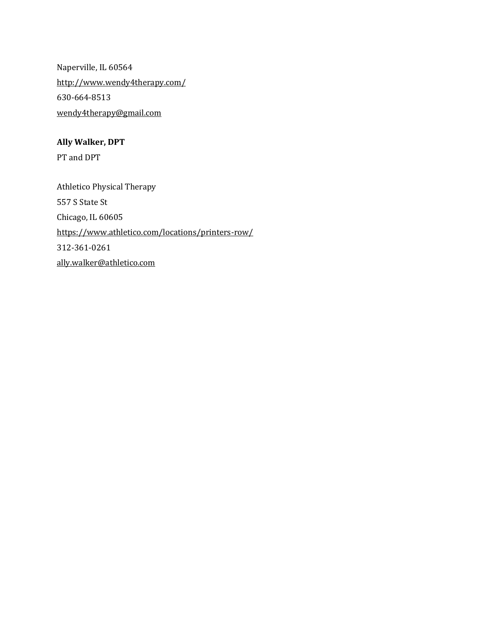Naperville, IL 60564 <http://www.wendy4therapy.com/> 630-664-8513 [wendy4therapy@gmail.com](mailto:wendy4therapy@gmail.com)

## **Ally Walker, DPT**

PT and DPT

Athletico Physical Therapy 557 S State St Chicago, IL 60605 <https://www.athletico.com/locations/printers-row/> 312-361-0261 [ally.walker@athletico.com](mailto:ally.walker@athletico.com)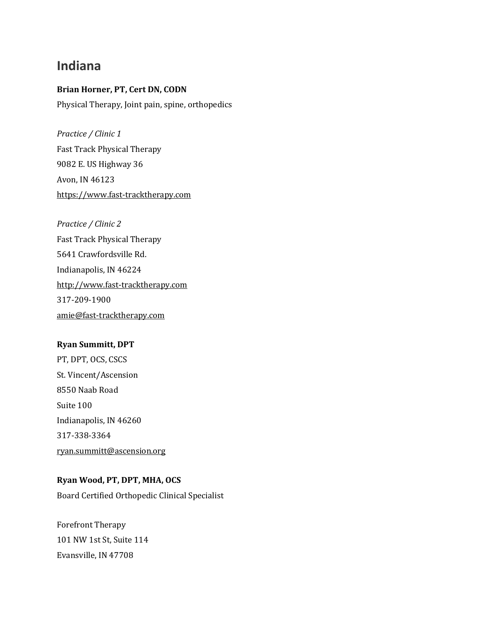## **Indiana**

## **Brian Horner, PT, Cert DN, CODN**

Physical Therapy, Joint pain, spine, orthopedics

*Practice / Clinic 1* Fast Track Physical Therapy 9082 E. US Highway 36 Avon, IN 46123 [https://www.fast-tracktherapy.com](https://www.fast-tracktherapy.com/)

*Practice / Clinic 2* Fast Track Physical Therapy 5641 Crawfordsville Rd. Indianapolis, IN 46224 [http://www.fast-tracktherapy.com](http://www.fast-tracktherapy.com/) 317-209-1900 [amie@fast-tracktherapy.com](mailto:amie@fast-tracktherapy.com)

### **Ryan Summitt, DPT**

PT, DPT, OCS, CSCS St. Vincent/Ascension 8550 Naab Road Suite 100 Indianapolis, IN 46260 317-338-3364 [ryan.summitt@ascension.org](mailto:ryan.summitt@ascension.org)

### **Ryan Wood, PT, DPT, MHA, OCS**

Board Certified Orthopedic Clinical Specialist

Forefront Therapy 101 NW 1st St, Suite 114 Evansville, IN 47708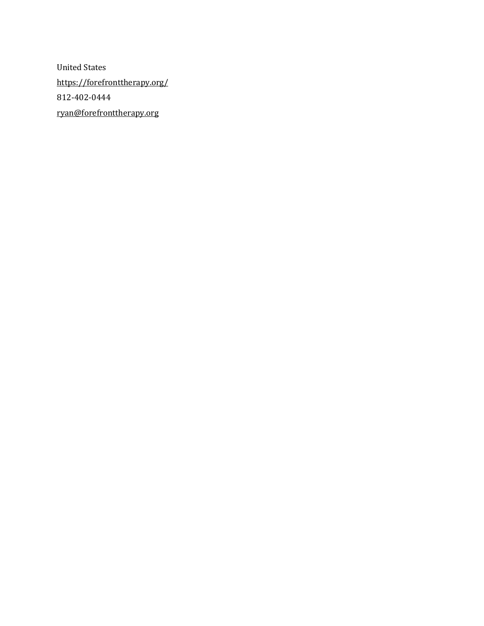United States <https://forefronttherapy.org/> 812-402-0444 [ryan@forefronttherapy.org](mailto:ryan@forefronttherapy.org)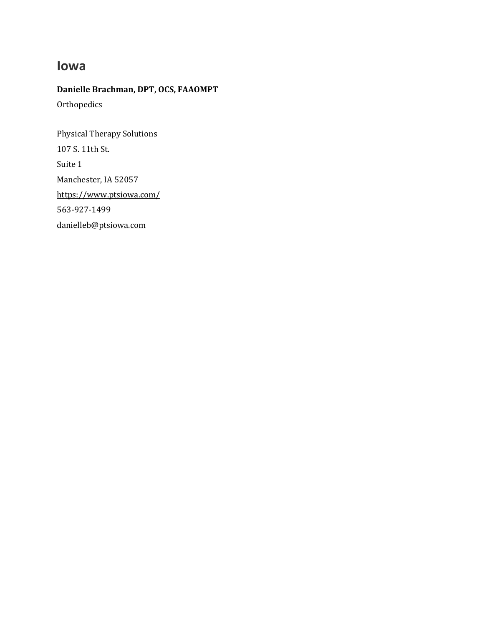## **Iowa**

## **Danielle Brachman, DPT, OCS, FAAOMPT**

**Orthopedics** 

Physical Therapy Solutions 107 S. 11th St. Suite 1 Manchester, IA 52057 <https://www.ptsiowa.com/> 563-927-1499 [danielleb@ptsiowa.com](mailto:danielleb@ptsiowa.com)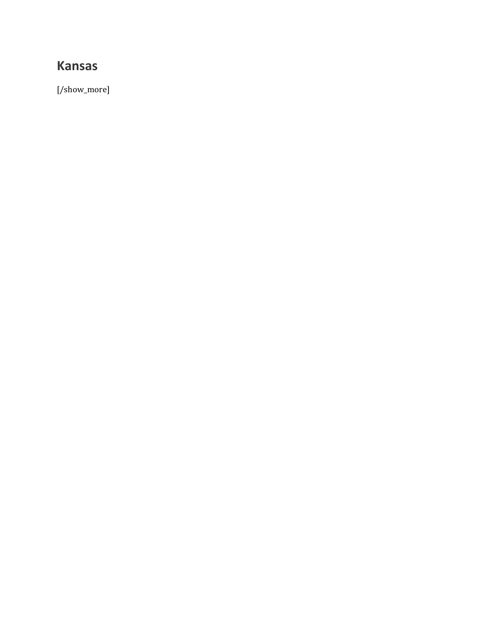## **Kansas**

[/show\_more]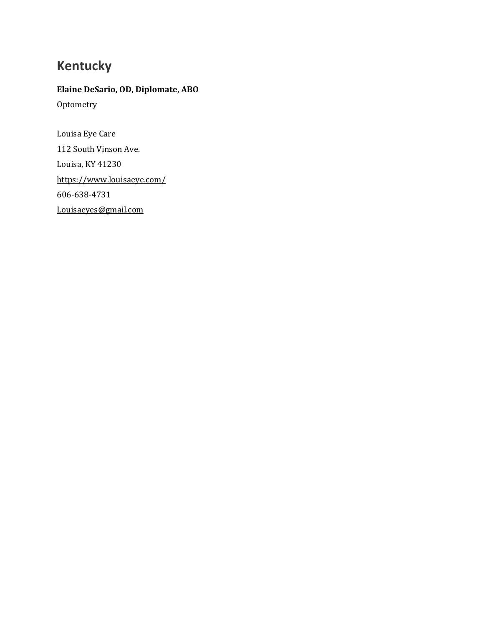# **Kentucky**

## **Elaine DeSario, OD, Diplomate, ABO Optometry**

Louisa Eye Care 112 South Vinson Ave. Louisa, KY 41230 <https://www.louisaeye.com/> 606-638-4731 [Louisaeyes@gmail.com](mailto:Louisaeyes@gmail.com)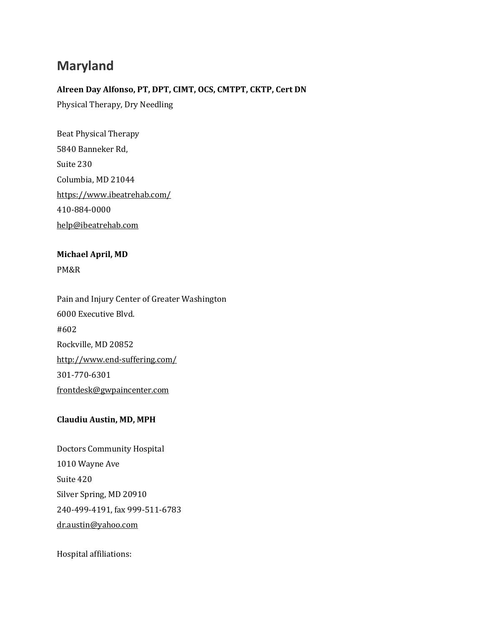## **Maryland**

## **Alreen Day Alfonso, PT, DPT, CIMT, OCS, CMTPT, CKTP, Cert DN**

Physical Therapy, Dry Needling

Beat Physical Therapy 5840 Banneker Rd, Suite 230 Columbia, MD 21044 <https://www.ibeatrehab.com/> 410-884-0000 [help@ibeatrehab.com](mailto:help@ibeatrehab.com)

## **Michael April, MD** PM&R

Pain and Injury Center of Greater Washington 6000 Executive Blvd. #602 Rockville, MD 20852 <http://www.end-suffering.com/> 301-770-6301 [frontdesk@gwpaincenter.com](mailto:frontdesk@gwpaincenter.com)

### **Claudiu Austin, MD, MPH**

Doctors Community Hospital 1010 Wayne Ave Suite 420 Silver Spring, MD 20910 240-499-4191, fax 999-511-6783 [dr.austin@yahoo.com](mailto:dr.austin@yahoo.com)

Hospital affiliations: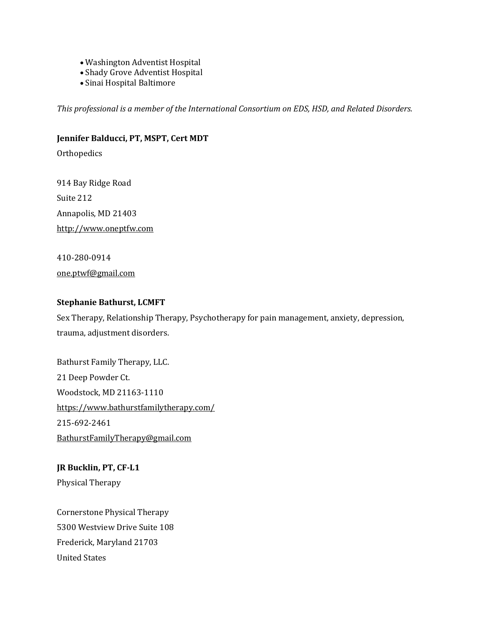- Washington Adventist Hospital
- Shady Grove Adventist Hospital
- Sinai Hospital Baltimore

*This professional is a member of the International Consortium on EDS, HSD, and Related Disorders.*

#### **Jennifer Balducci, PT, MSPT, Cert MDT**

**Orthopedics** 

914 Bay Ridge Road Suite 212 Annapolis, MD 21403 [http://www.oneptfw.com](http://www.oneptfw.com/)

410-280-0914 [one.ptwf@gmail.com](mailto:one.ptwf@gmail.com)

#### **Stephanie Bathurst, LCMFT**

Sex Therapy, Relationship Therapy, Psychotherapy for pain management, anxiety, depression, trauma, adjustment disorders.

Bathurst Family Therapy, LLC. 21 Deep Powder Ct. Woodstock, MD 21163-1110 <https://www.bathurstfamilytherapy.com/> 215-692-2461 [BathurstFamilyTherapy@gmail.com](mailto:BathurstFamilyTherapy@gmail.com)

**JR Bucklin, PT, CF-L1** Physical Therapy

Cornerstone Physical Therapy 5300 Westview Drive Suite 108 Frederick, Maryland 21703 United States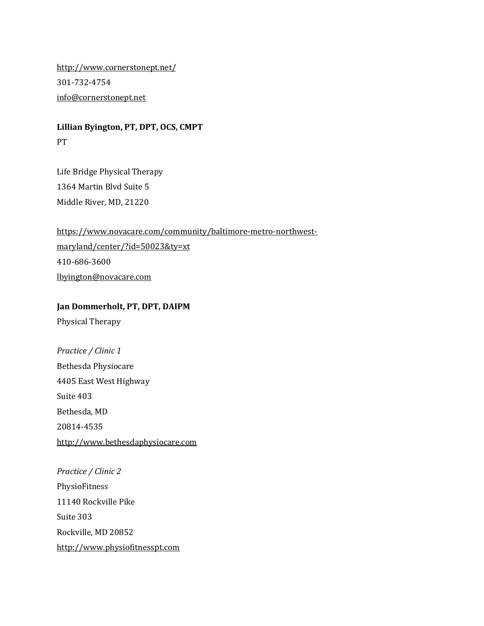<http://www.cornerstonept.net/> 301-732-4754 [info@cornerstonept.net](mailto:info@cornerstonept.net)

**Lillian Byington, PT, DPT, OCS, CMPT** PT

Life Bridge Physical Therapy 1364 Martin Blvd Suite 5 Middle River, MD, 21220

[https://www.novacare.com/community/baltimore-metro-northwest](https://www.novacare.com/community/baltimore-metro-northwest-maryland/center/?id=50023&ty=xt)[maryland/center/?id=50023&ty=xt](https://www.novacare.com/community/baltimore-metro-northwest-maryland/center/?id=50023&ty=xt) 410-686-3600 [lbyington@novacare.com](mailto:lbyington@novacare.com)

**Jan Dommerholt, PT, DPT, DAIPM**

Physical Therapy

*Practice / Clinic 1* Bethesda Physiocare 4405 East West Highway Suite 403 Bethesda, MD 20814-4535 [http://www.bethesdaphysiocare.com](http://www.bethesdaphysiocare.com/)

*Practice / Clinic 2* PhysioFitness 11140 Rockville Pike Suite 303 Rockville, MD 20852 [http://www.physiofitnesspt.com](http://www.physiofitnesspt.com/)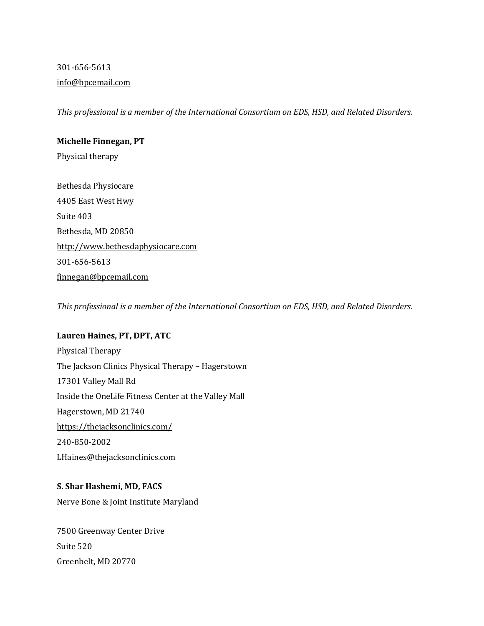301-656-5613 [info@bpcemail.com](mailto:info@bpcemail.com)

*This professional is a member of the International Consortium on EDS, HSD, and Related Disorders.*

### **Michelle Finnegan, PT**

Physical therapy

Bethesda Physiocare 4405 East West Hwy Suite 403 Bethesda, MD 20850 [http://www.bethesdaphysiocare.com](http://www.bethesdaphysiocare.com/) 301-656-5613 [finnegan@bpcemail.com](mailto:finnegan@bpcemail.com)

*This professional is a member of the International Consortium on EDS, HSD, and Related Disorders.*

### **Lauren Haines, PT, DPT, ATC**

Physical Therapy The Jackson Clinics Physical Therapy – Hagerstown 17301 Valley Mall Rd Inside the OneLife Fitness Center at the Valley Mall Hagerstown, MD 21740 <https://thejacksonclinics.com/> 240-850-2002 [LHaines@thejacksonclinics.com](mailto:LHaines@thejacksonclinics.com)

## **S. Shar Hashemi, MD, FACS**

Nerve Bone & Joint Institute Maryland

7500 Greenway Center Drive Suite 520 Greenbelt, MD 20770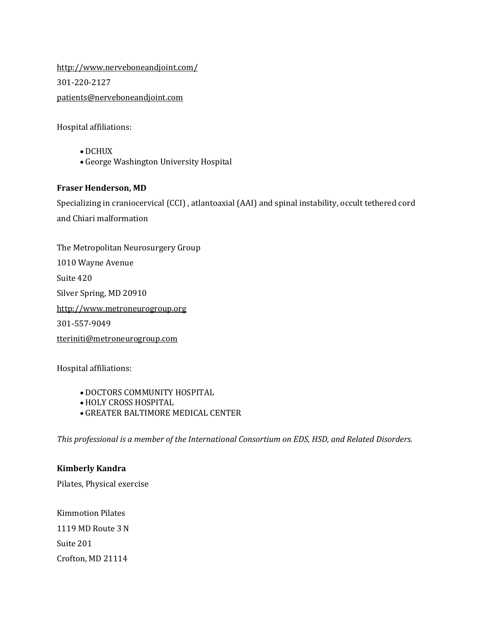<http://www.nerveboneandjoint.com/> 301-220-2127 [patients@nerveboneandjoint.com](mailto:patients@nerveboneandjoint.com)

Hospital affiliations:

- DCHUX
- George Washington University Hospital

### **Fraser Henderson, MD**

Specializing in craniocervical (CCI) , atlantoaxial (AAI) and spinal instability, occult tethered cord and Chiari malformation

The Metropolitan Neurosurgery Group 1010 Wayne Avenue Suite 420 Silver Spring, MD 20910 [http://www.metroneurogroup.org](http://www.metroneurogroup.org/) 301-557-9049 [tteriniti@metroneurogroup.com](mailto:tteriniti@metroneurogroup.com)

Hospital affiliations:

- DOCTORS COMMUNITY HOSPITAL
- HOLY CROSS HOSPITAL
- GREATER BALTIMORE MEDICAL CENTER

*This professional is a member of the International Consortium on EDS, HSD, and Related Disorders.*

### **Kimberly Kandra**

Pilates, Physical exercise

Kimmotion Pilates 1119 MD Route 3 N Suite 201 Crofton, MD 21114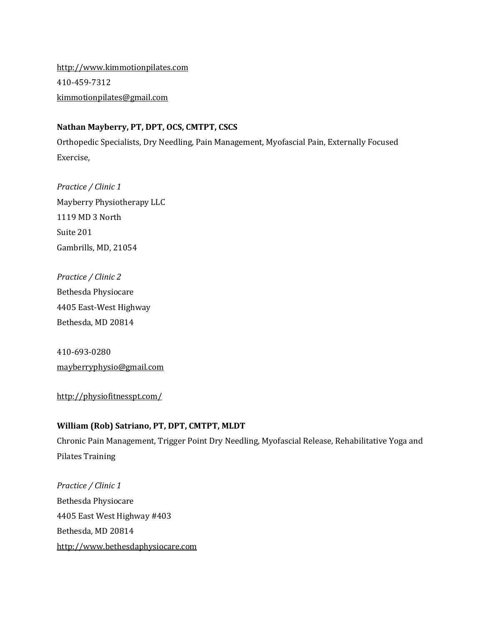[http://www.kimmotionpilates.com](http://www.kimmotionpilates.com/) 410-459-7312 [kimmotionpilates@gmail.com](mailto:kimmotionpilates@gmail.com)

### **Nathan Mayberry, PT, DPT, OCS, CMTPT, CSCS**

Orthopedic Specialists, Dry Needling, Pain Management, Myofascial Pain, Externally Focused Exercise,

*Practice / Clinic 1* Mayberry Physiotherapy LLC 1119 MD 3 North Suite 201 Gambrills, MD, 21054

*Practice / Clinic 2* Bethesda Physiocare 4405 East-West Highway Bethesda, MD 20814

410-693-0280 [mayberryphysio@gmail.com](mailto:mayberryphysio@gmail.com)

<http://physiofitnesspt.com/>

## **William (Rob) Satriano, PT, DPT, CMTPT, MLDT**

Chronic Pain Management, Trigger Point Dry Needling, Myofascial Release, Rehabilitative Yoga and Pilates Training

*Practice / Clinic 1* Bethesda Physiocare 4405 East West Highway #403 Bethesda, MD 20814 [http://www.bethesdaphysiocare.com](http://www.bethesdaphysiocare.com/)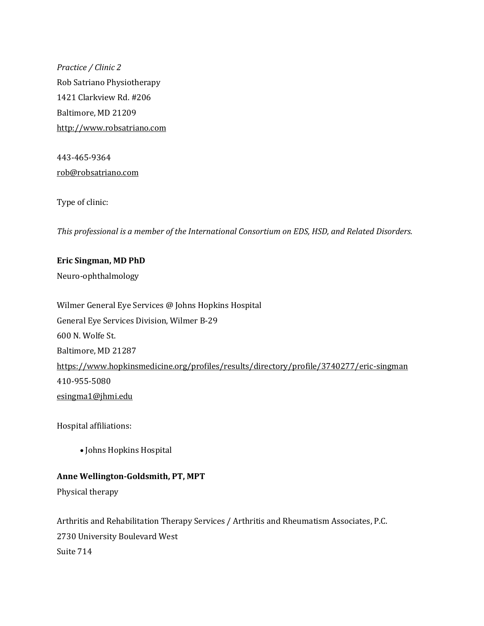*Practice / Clinic 2* Rob Satriano Physiotherapy 1421 Clarkview Rd. #206 Baltimore, MD 21209 [http://www.robsatriano.com](http://www.robsatriano.com/)

443-465-9364 [rob@robsatriano.com](mailto:rob@robsatriano.com)

Type of clinic:

*This professional is a member of the International Consortium on EDS, HSD, and Related Disorders.*

**Eric Singman, MD PhD** Neuro-ophthalmology

Wilmer General Eye Services @ Johns Hopkins Hospital General Eye Services Division, Wilmer B-29 600 N. Wolfe St. Baltimore, MD 21287 <https://www.hopkinsmedicine.org/profiles/results/directory/profile/3740277/eric-singman> 410-955-5080 [esingma1@jhmi.edu](mailto:esingma1@jhmi.edu)

Hospital affiliations:

• Johns Hopkins Hospital

### **Anne Wellington-Goldsmith, PT, MPT**

Physical therapy

Arthritis and Rehabilitation Therapy Services / Arthritis and Rheumatism Associates, P.C. 2730 University Boulevard West Suite 714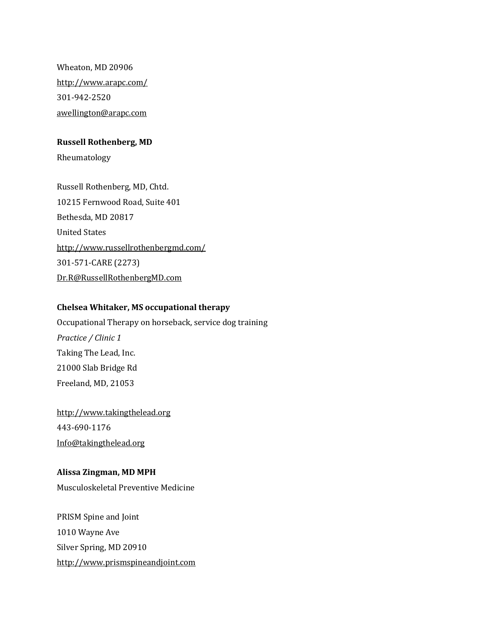Wheaton, MD 20906 <http://www.arapc.com/> 301-942-2520 [awellington@arapc.com](mailto:awellington@arapc.com)

#### **Russell Rothenberg, MD**

Rheumatology

Russell Rothenberg, MD, Chtd. 10215 Fernwood Road, Suite 401 Bethesda, MD 20817 United States <http://www.russellrothenbergmd.com/> 301-571-CARE (2273) [Dr.R@RussellRothenbergMD.com](mailto:Dr.R@RussellRothenbergMD.com)

#### **Chelsea Whitaker, MS occupational therapy**

Occupational Therapy on horseback, service dog training *Practice / Clinic 1* Taking The Lead, Inc. 21000 Slab Bridge Rd Freeland, MD, 21053

[http://www.takingthelead.org](http://www.takingthelead.org/) 443-690-1176 [Info@takingthelead.org](mailto:Info@takingthelead.org)

#### **Alissa Zingman, MD MPH**

Musculoskeletal Preventive Medicine

PRISM Spine and Joint 1010 Wayne Ave Silver Spring, MD 20910 [http://www.prismspineandjoint.com](http://www.prismspineandjoint.com/)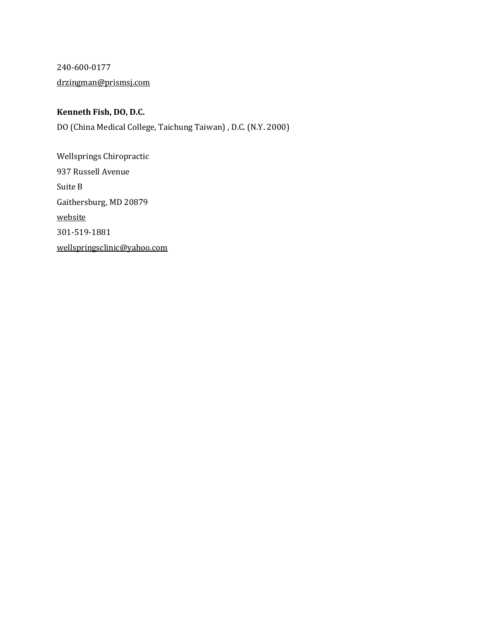240-600-0177 [drzingman@prismsj.com](mailto:drzingman@prismsj.com)

## **Kenneth Fish, DO, D.C.**

DO (China Medical College, Taichung Taiwan) , D.C. (N.Y. 2000)

Wellsprings Chiropractic 937 Russell Avenue Suite B Gaithersburg, MD 20879 [website](https://l.facebook.com/l.php?u=https%3A%2F%2Fchiropractors.healthprofs.com%2Fcam%2Fname%2FKenneth_J_Fish_DC_Gaithersburg_Maryland_504477%3Ffbclid%3DIwAR3WwGGVPTq3260_b-jf0Q4BnF4XLCd4JSUOQeYVXrMGNNrTCwY13IGixZk&h=AT2R1MV1G3zpzh0Kof7MtJzHu-X3MZyyzH5AzA71tvonVmPVL6Mw7XxJ8JvOeOGCq5vzBw9idrbp2tpyfeavktPBk0-ktaoCMm0XDZX2YhNBWScHgDx87fLDo7Dt5baZua4) 301-519-1881 [wellspringsclinic@yahoo.com](mailto:wellspringsclinic@yahoo.com)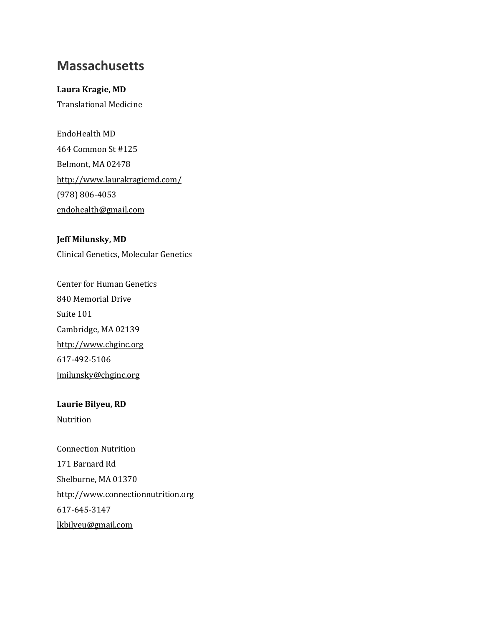## **Massachusetts**

## **Laura Kragie, MD**

Translational Medicine

EndoHealth MD 464 Common St #125 Belmont, MA 02478 <http://www.laurakragiemd.com/> (978) 806-4053 [endohealth@gmail.com](mailto:endohealth@gmail.com)

**Jeff Milunsky, MD** Clinical Genetics, Molecular Genetics

Center for Human Genetics 840 Memorial Drive Suite 101 Cambridge, MA 02139 [http://www.chginc.org](http://www.chginc.org/) 617-492-5106 [jmilunsky@chginc.org](mailto:jmilunsky@chginc.org)

**Laurie Bilyeu, RD** Nutrition

Connection Nutrition 171 Barnard Rd Shelburne, MA 01370 [http://www.connectionnutrition.org](http://www.connectionnutrition.org/) 617-645-3147 [lkbilyeu@gmail.com](mailto:lkbilyeu@gmail.com)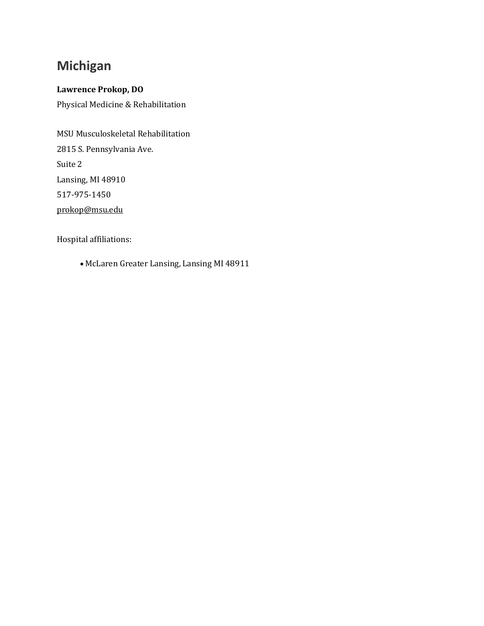# **Michigan**

## **Lawrence Prokop, DO**

Physical Medicine & Rehabilitation

MSU Musculoskeletal Rehabilitation 2815 S. Pennsylvania Ave. Suite 2 Lansing, MI 48910 517-975-1450 [prokop@msu.edu](mailto:prokop@msu.edu)

Hospital affiliations:

• McLaren Greater Lansing, Lansing MI 48911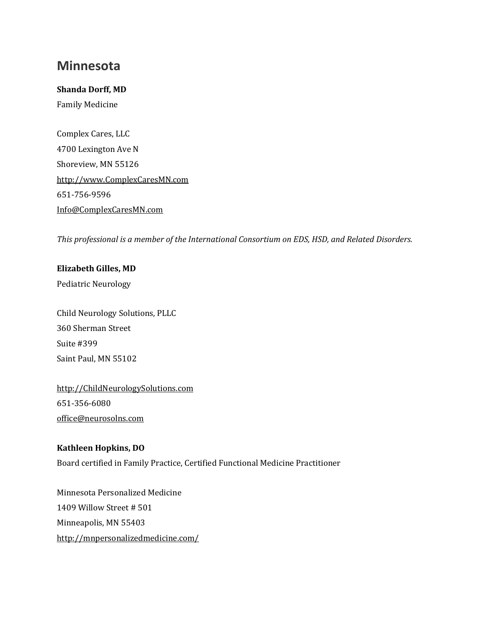## **Minnesota**

**Shanda Dorff, MD** Family Medicine

Complex Cares, LLC 4700 Lexington Ave N Shoreview, MN 55126 [http://www.ComplexCaresMN.com](http://www.complexcaresmn.com/) 651-756-9596 [Info@ComplexCaresMN.com](mailto:Info@ComplexCaresMN.com)

*This professional is a member of the International Consortium on EDS, HSD, and Related Disorders.*

### **Elizabeth Gilles, MD**

Pediatric Neurology

Child Neurology Solutions, PLLC 360 Sherman Street Suite #399 Saint Paul, MN 55102

[http://ChildNeurologySolutions.com](http://childneurologysolutions.com/) 651-356-6080 [office@neurosolns.com](mailto:office@neurosolns.com)

## **Kathleen Hopkins, DO**

Board certified in Family Practice, Certified Functional Medicine Practitioner

Minnesota Personalized Medicine 1409 Willow Street # 501 Minneapolis, MN 55403 <http://mnpersonalizedmedicine.com/>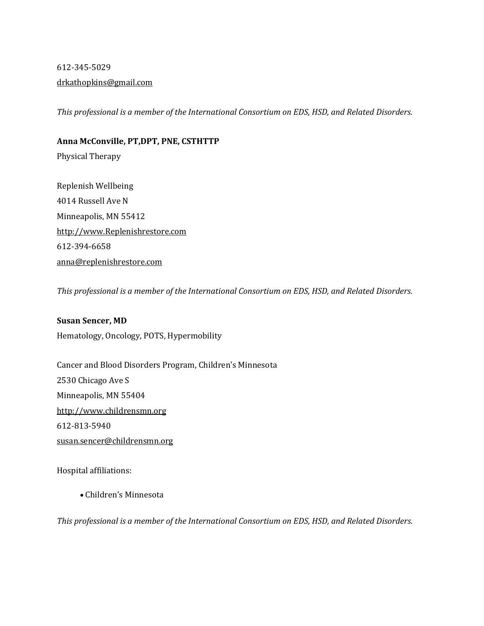## 612-345-5029 [drkathopkins@gmail.com](mailto:drkathopkins@gmail.com)

*This professional is a member of the International Consortium on EDS, HSD, and Related Disorders.*

## **Anna McConville, PT,DPT, PNE, CSTHTTP**

Physical Therapy

Replenish Wellbeing 4014 Russell Ave N Minneapolis, MN 55412 [http://www.Replenishrestore.com](http://www.replenishrestore.com/) 612-394-6658 [anna@replenishrestore.com](mailto:anna@replenishrestore.com)

*This professional is a member of the International Consortium on EDS, HSD, and Related Disorders.*

### **Susan Sencer, MD**

Hematology, Oncology, POTS, Hypermobility

Cancer and Blood Disorders Program, Children's Minnesota 2530 Chicago Ave S Minneapolis, MN 55404 [http://www.childrensmn.org](http://www.childrensmn.org/) 612-813-5940 [susan.sencer@childrensmn.org](mailto:susan.sencer@childrensmn.org)

Hospital affiliations:

• Children's Minnesota

*This professional is a member of the International Consortium on EDS, HSD, and Related Disorders.*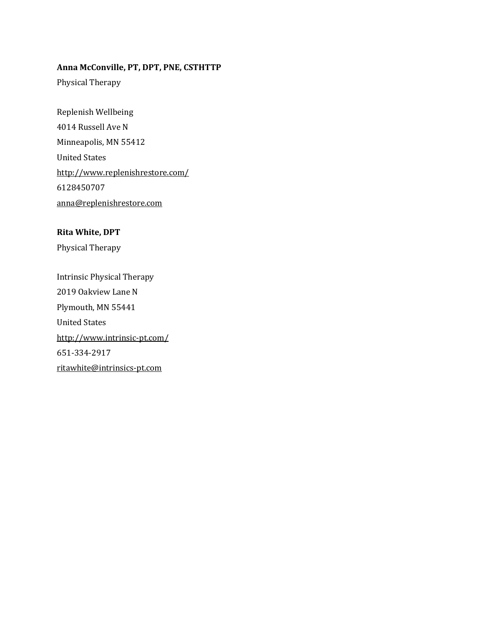## **Anna McConville, PT, DPT, PNE, CSTHTTP**

Physical Therapy

Replenish Wellbeing 4014 Russell Ave N Minneapolis, MN 55412 United States <http://www.replenishrestore.com/> 6128450707 [anna@replenishrestore.com](mailto:anna@replenishrestore.com)

## **Rita White, DPT**

Physical Therapy

Intrinsic Physical Therapy 2019 Oakview Lane N Plymouth, MN 55441 United States <http://www.intrinsic-pt.com/> 651-334-2917 [ritawhite@intrinsics-pt.com](mailto:ritawhite@intrinsics-pt.com)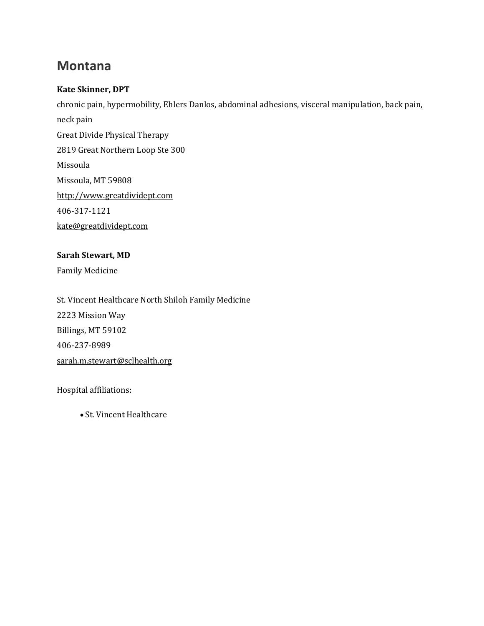## **Montana**

## **Kate Skinner, DPT**

chronic pain, hypermobility, Ehlers Danlos, abdominal adhesions, visceral manipulation, back pain, neck pain Great Divide Physical Therapy 2819 Great Northern Loop Ste 300 Missoula Missoula, MT 59808 [http://www.greatdividept.com](http://www.greatdividept.com/) 406-317-1121 [kate@greatdividept.com](mailto:kate@greatdividept.com)

## **Sarah Stewart, MD**

Family Medicine

St. Vincent Healthcare North Shiloh Family Medicine 2223 Mission Way Billings, MT 59102 406-237-8989 [sarah.m.stewart@sclhealth.org](mailto:sarah.m.stewart@sclhealth.org)

Hospital affiliations:

• St. Vincent Healthcare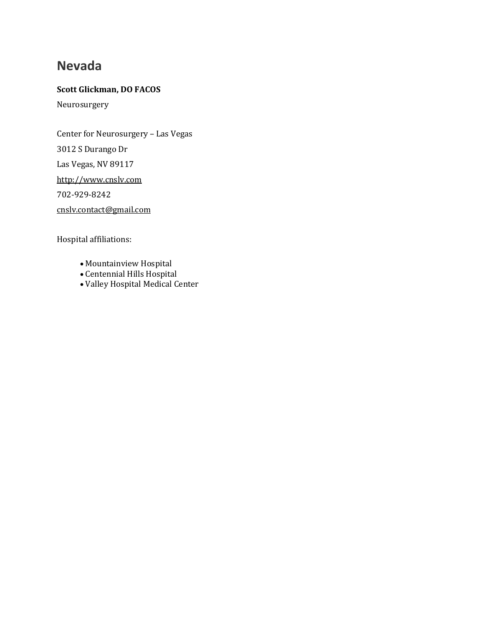## **Nevada**

## **Scott Glickman, DO FACOS**

Neurosurgery

Center for Neurosurgery – Las Vegas 3012 S Durango Dr Las Vegas, NV 89117

[http://www.cnslv.com](http://www.cnslv.com/)

702-929-8242

[cnslv.contact@gmail.com](mailto:cnslv.contact@gmail.com)

Hospital affiliations:

- Mountainview Hospital
- Centennial Hills Hospital
- Valley Hospital Medical Center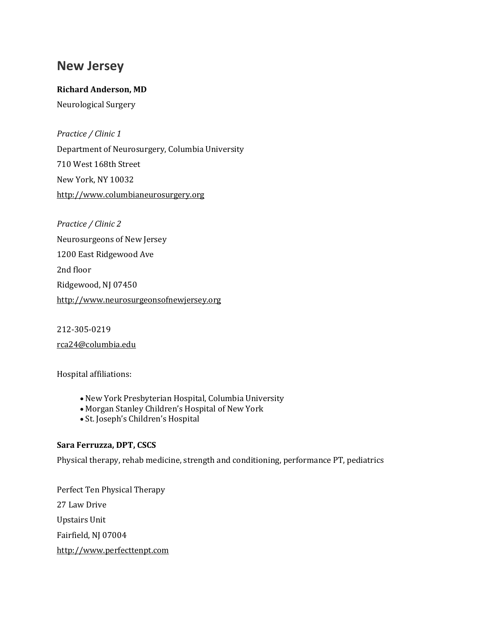## **New Jersey**

## **Richard Anderson, MD**

Neurological Surgery

*Practice / Clinic 1*

Department of Neurosurgery, Columbia University 710 West 168th Street New York, NY 10032 [http://www.columbianeurosurgery.org](http://www.columbianeurosurgery.org/)

*Practice / Clinic 2* Neurosurgeons of New Jersey 1200 East Ridgewood Ave 2nd floor Ridgewood, NJ 07450 [http://www.neurosurgeonsofnewjersey.org](http://www.neurosurgeonsofnewjersey.org/)

212-305-0219 [rca24@columbia.edu](mailto:rca24@columbia.edu)

Hospital affiliations:

- New York Presbyterian Hospital, Columbia University
- Morgan Stanley Children's Hospital of New York
- St. Joseph's Children's Hospital

### **Sara Ferruzza, DPT, CSCS**

Physical therapy, rehab medicine, strength and conditioning, performance PT, pediatrics

Perfect Ten Physical Therapy 27 Law Drive Upstairs Unit Fairfield, NJ 07004 [http://www.perfecttenpt.com](http://www.perfecttenpt.com/)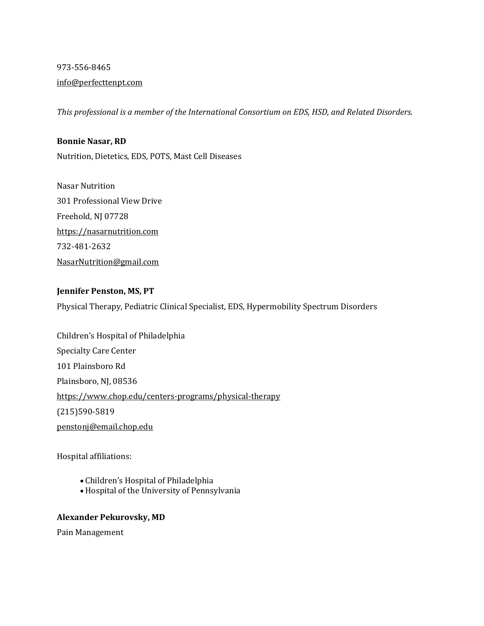## 973-556-8465

## [info@perfecttenpt.com](mailto:info@perfecttenpt.com)

*This professional is a member of the International Consortium on EDS, HSD, and Related Disorders.*

### **Bonnie Nasar, RD**

Nutrition, Dietetics, EDS, POTS, Mast Cell Diseases

Nasar Nutrition 301 Professional View Drive Freehold, NJ 07728 [https://nasarnutrition.com](https://nasarnutrition.com/) 732-481-2632 [NasarNutrition@gmail.com](mailto:NasarNutrition@gmail.com)

## **Jennifer Penston, MS, PT**

Physical Therapy, Pediatric Clinical Specialist, EDS, Hypermobility Spectrum Disorders

Children's Hospital of Philadelphia Specialty Care Center 101 Plainsboro Rd Plainsboro, NJ, 08536 <https://www.chop.edu/centers-programs/physical-therapy> (215)590-5819 [penstonj@email.chop.edu](mailto:penstonj@email.chop.edu)

Hospital affiliations:

- Children's Hospital of Philadelphia
- Hospital of the University of Pennsylvania

### **Alexander Pekurovsky, MD**

Pain Management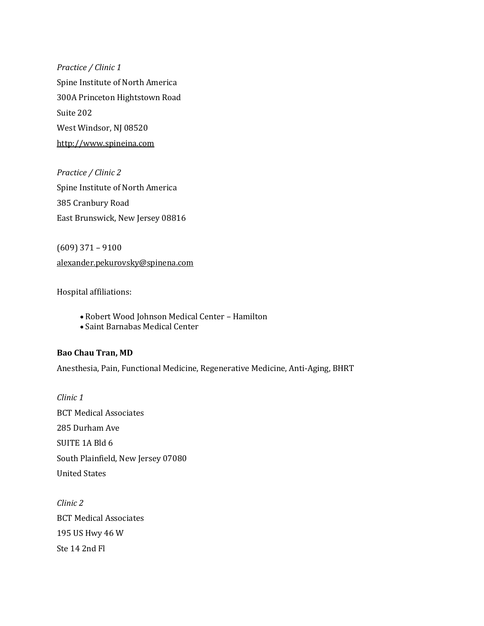*Practice / Clinic 1* Spine Institute of North America 300A Princeton Hightstown Road Suite 202 West Windsor, NJ 08520 [http://www.spineina.com](http://www.spineina.com/)

*Practice / Clinic 2* Spine Institute of North America 385 Cranbury Road East Brunswick, New Jersey 08816

(609) 371 – 9100 [alexander.pekurovsky@spinena.com](mailto:alexander.pekurovsky@spinena.com)

Hospital affiliations:

- Robert Wood Johnson Medical Center Hamilton
- Saint Barnabas Medical Center

#### **Bao Chau Tran, MD**

Anesthesia, Pain, Functional Medicine, Regenerative Medicine, Anti-Aging, BHRT

*Clinic 1* BCT Medical Associates 285 Durham Ave SUITE 1A Bld 6 South Plainfield, New Jersey 07080 United States

*Clinic 2* BCT Medical Associates 195 US Hwy 46 W Ste 14 2nd Fl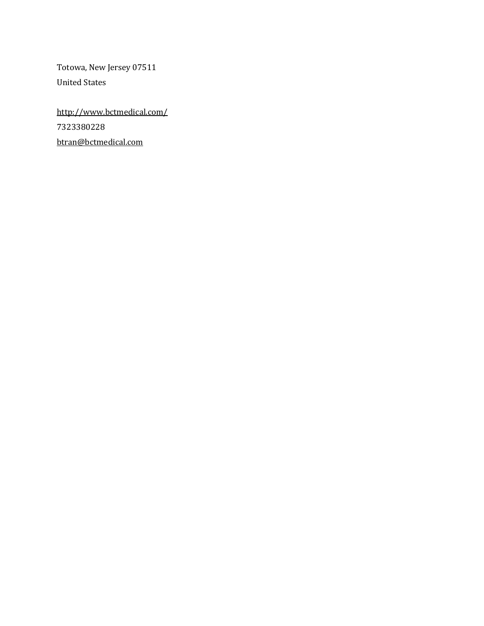Totowa, New Jersey 07511 United States

<http://www.bctmedical.com/> 7323380228 [btran@bctmedical.com](mailto:btran@bctmedical.com)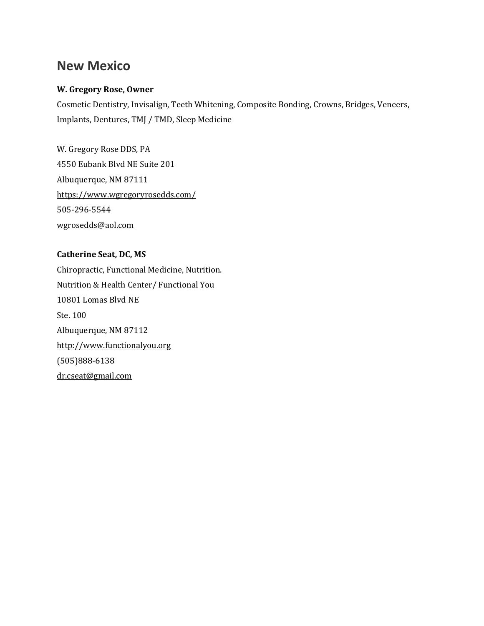## **New Mexico**

## **W. Gregory Rose, Owner**

Cosmetic Dentistry, Invisalign, Teeth Whitening, Composite Bonding, Crowns, Bridges, Veneers, Implants, Dentures, TMJ / TMD, Sleep Medicine

W. Gregory Rose DDS, PA 4550 Eubank Blvd NE Suite 201 Albuquerque, NM 87111 <https://www.wgregoryrosedds.com/> 505-296-5544 [wgrosedds@aol.com](mailto:wgrosedds@aol.com)

**Catherine Seat, DC, MS** Chiropractic, Functional Medicine, Nutrition. Nutrition & Health Center/ Functional You 10801 Lomas Blvd NE Ste. 100 Albuquerque, NM 87112 [http://www.functionalyou.org](http://www.functionalyou.org/) (505)888-6138 [dr.cseat@gmail.com](mailto:dr.cseat@gmail.com)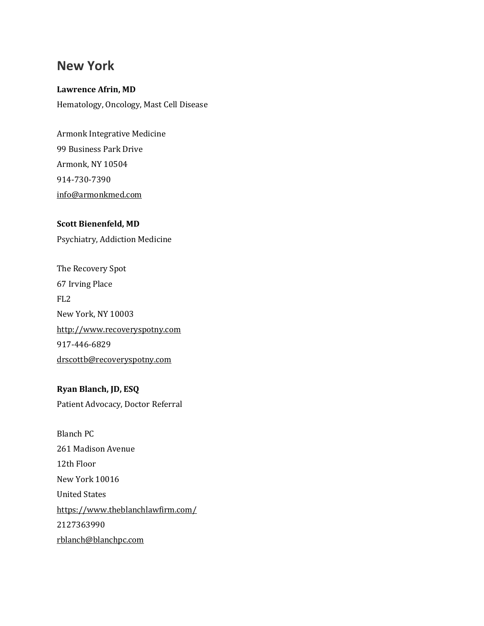## **New York**

# **Lawrence Afrin, MD**

Hematology, Oncology, Mast Cell Disease

Armonk Integrative Medicine 99 Business Park Drive Armonk, NY 10504 914-730-7390 [info@armonkmed.com](mailto:info@armonkmed.com)

## **Scott Bienenfeld, MD**

Psychiatry, Addiction Medicine

The Recovery Spot 67 Irving Place FL2 New York, NY 10003 [http://www.recoveryspotny.com](http://www.recoveryspotny.com/) 917-446-6829 [drscottb@recoveryspotny.com](mailto:drscottb@recoveryspotny.com)

## **Ryan Blanch, JD, ESQ** Patient Advocacy, Doctor Referral

Blanch PC 261 Madison Avenue 12th Floor New York 10016 United States <https://www.theblanchlawfirm.com/> 2127363990 [rblanch@blanchpc.com](mailto:rblanch@blanchpc.com)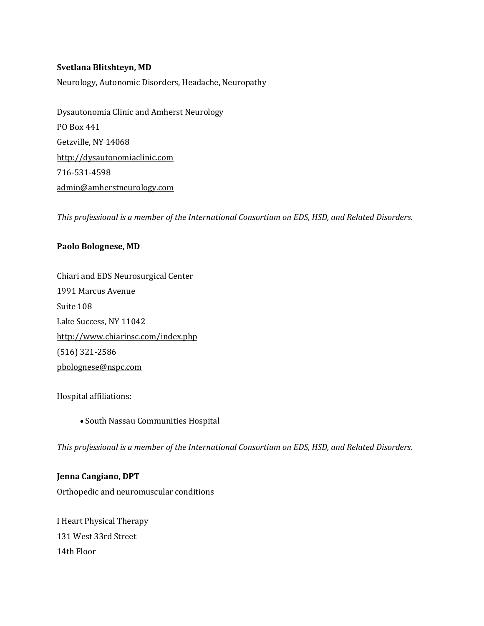#### **Svetlana Blitshteyn, MD**

Neurology, Autonomic Disorders, Headache, Neuropathy

Dysautonomia Clinic and Amherst Neurology PO Box 441 Getzville, NY 14068 [http://dysautonomiaclinic.com](http://dysautonomiaclinic.com/) 716-531-4598 [admin@amherstneurology.com](mailto:admin@amherstneurology.com)

*This professional is a member of the International Consortium on EDS, HSD, and Related Disorders.*

#### **Paolo Bolognese, MD**

Chiari and EDS Neurosurgical Center 1991 Marcus Avenue Suite 108 Lake Success, NY 11042 <http://www.chiarinsc.com/index.php> (516) 321-2586 [pbolognese@nspc.com](mailto:pbolognese@nspc.com)

Hospital affiliations:

• South Nassau Communities Hospital

*This professional is a member of the International Consortium on EDS, HSD, and Related Disorders.*

**Jenna Cangiano, DPT** Orthopedic and neuromuscular conditions

I Heart Physical Therapy 131 West 33rd Street 14th Floor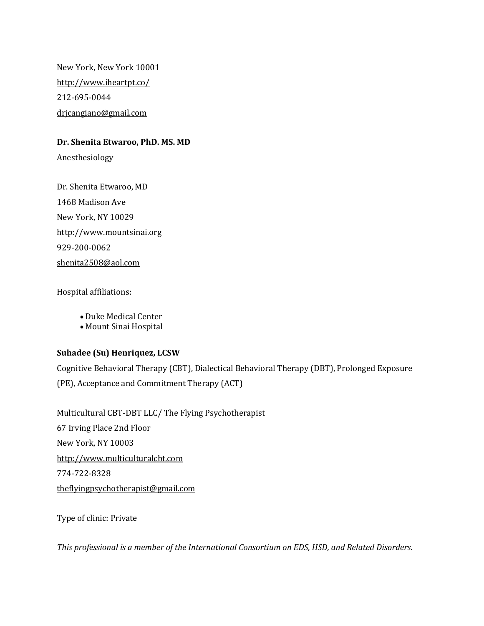New York, New York 10001 <http://www.iheartpt.co/> 212-695-0044 [drjcangiano@gmail.com](mailto:drjcangiano@gmail.com)

#### **Dr. Shenita Etwaroo, PhD. MS. MD**

Anesthesiology

Dr. Shenita Etwaroo, MD 1468 Madison Ave New York, NY 10029 [http://www.mountsinai.org](http://www.mountsinai.org/) 929-200-0062 [shenita2508@aol.com](mailto:shenita2508@aol.com)

Hospital affiliations:

• Duke Medical Center

• Mount Sinai Hospital

### **Suhadee (Su) Henriquez, LCSW**

Cognitive Behavioral Therapy (CBT), Dialectical Behavioral Therapy (DBT), Prolonged Exposure (PE), Acceptance and Commitment Therapy (ACT)

Multicultural CBT-DBT LLC/ The Flying Psychotherapist 67 Irving Place 2nd Floor New York, NY 10003 [http://www.multiculturalcbt.com](http://www.multiculturalcbt.com/) 774-722-8328 [theflyingpsychotherapist@gmail.com](mailto:theflyingpsychotherapist@gmail.com)

Type of clinic: Private

*This professional is a member of the International Consortium on EDS, HSD, and Related Disorders.*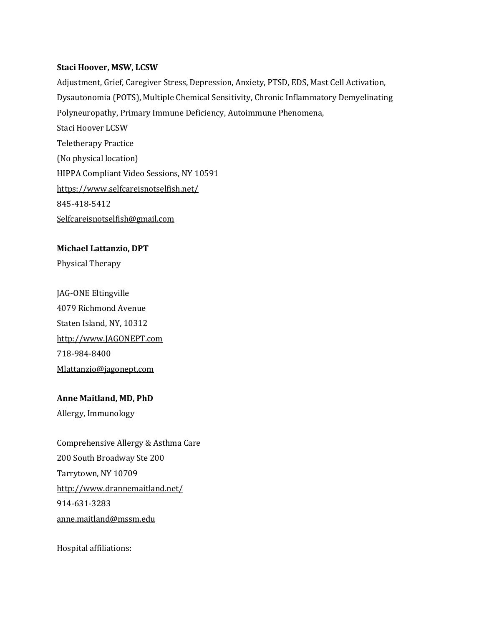#### **Staci Hoover, MSW, LCSW**

Adjustment, Grief, Caregiver Stress, Depression, Anxiety, PTSD, EDS, Mast Cell Activation, Dysautonomia (POTS), Multiple Chemical Sensitivity, Chronic Inflammatory Demyelinating Polyneuropathy, Primary Immune Deficiency, Autoimmune Phenomena, Staci Hoover LCSW Teletherapy Practice (No physical location) HIPPA Compliant Video Sessions, NY 10591 <https://www.selfcareisnotselfish.net/> 845-418-5412 [Selfcareisnotselfish@gmail.com](mailto:Selfcareisnotselfish@gmail.com)

#### **Michael Lattanzio, DPT**

Physical Therapy

JAG-ONE Eltingville 4079 Richmond Avenue Staten Island, NY, 10312 [http://www.JAGONEPT.com](http://www.jagonept.com/) 718-984-8400 [Mlattanzio@jagonept.com](mailto:Mlattanzio@jagonept.com)

### **Anne Maitland, MD, PhD**

Allergy, Immunology

Comprehensive Allergy & Asthma Care 200 South Broadway Ste 200 Tarrytown, NY 10709 <http://www.drannemaitland.net/> 914-631-3283 [anne.maitland@mssm.edu](mailto:anne.maitland@mssm.edu)

Hospital affiliations: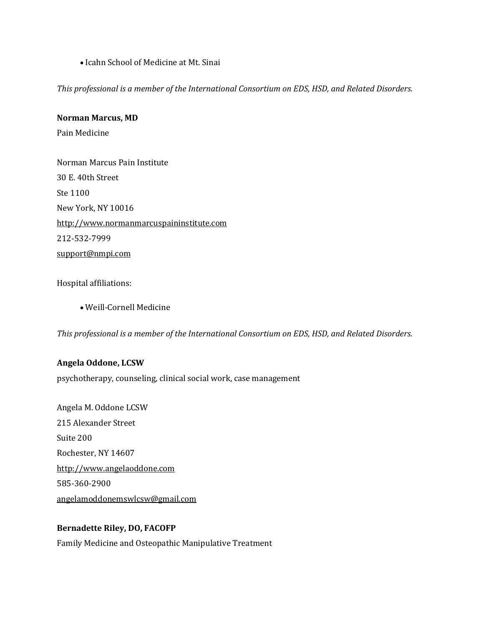• Icahn School of Medicine at Mt. Sinai

*This professional is a member of the International Consortium on EDS, HSD, and Related Disorders.*

#### **Norman Marcus, MD**

Pain Medicine

Norman Marcus Pain Institute 30 E. 40th Street Ste 1100 New York, NY 10016 [http://www.normanmarcuspaininstitute.com](http://www.normanmarcuspaininstitute.com/) 212-532-7999 [support@nmpi.com](mailto:support@nmpi.com)

Hospital affiliations:

• Weill-Cornell Medicine

*This professional is a member of the International Consortium on EDS, HSD, and Related Disorders.*

#### **Angela Oddone, LCSW**

psychotherapy, counseling, clinical social work, case management

Angela M. Oddone LCSW 215 Alexander Street Suite 200 Rochester, NY 14607 [http://www.angelaoddone.com](http://www.angelaoddone.com/) 585-360-2900 [angelamoddonemswlcsw@gmail.com](mailto:angelamoddonemswlcsw@gmail.com)

#### **Bernadette Riley, DO, FACOFP**

Family Medicine and Osteopathic Manipulative Treatment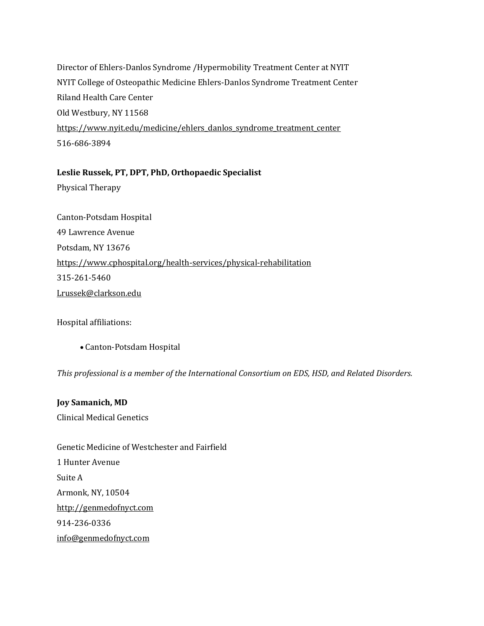Director of Ehlers-Danlos Syndrome /Hypermobility Treatment Center at NYIT NYIT College of Osteopathic Medicine Ehlers-Danlos Syndrome Treatment Center Riland Health Care Center Old Westbury, NY 11568 [https://www.nyit.edu/medicine/ehlers\\_danlos\\_syndrome\\_treatment\\_center](https://www.nyit.edu/medicine/ehlers_danlos_syndrome_treatment_center) 516-686-3894

#### **Leslie Russek, PT, DPT, PhD, Orthopaedic Specialist**

Physical Therapy

Canton-Potsdam Hospital 49 Lawrence Avenue Potsdam, NY 13676 <https://www.cphospital.org/health-services/physical-rehabilitation> 315-261-5460 [Lrussek@clarkson.edu](mailto:Lrussek@clarkson.edu)

Hospital affiliations:

• Canton-Potsdam Hospital

*This professional is a member of the International Consortium on EDS, HSD, and Related Disorders.*

**Joy Samanich, MD** Clinical Medical Genetics

Genetic Medicine of Westchester and Fairfield 1 Hunter Avenue Suite A Armonk, NY, 10504 [http://genmedofnyct.com](http://genmedofnyct.com/) 914-236-0336 [info@genmedofnyct.com](mailto:info@genmedofnyct.com)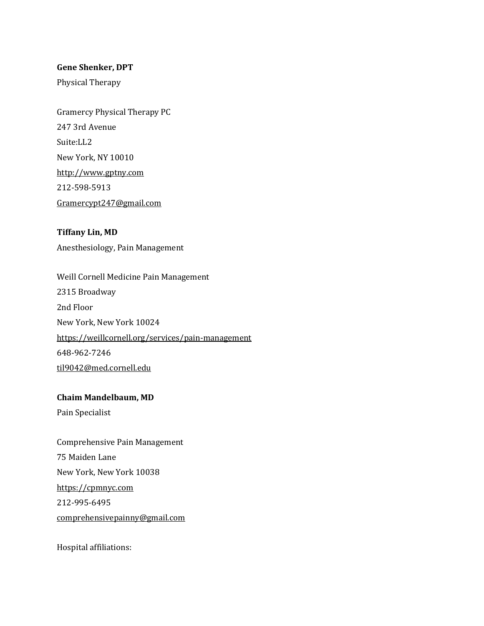#### **Gene Shenker, DPT**

Physical Therapy

Gramercy Physical Therapy PC 247 3rd Avenue Suite:LL2 New York, NY 10010 [http://www.gptny.com](http://www.gptny.com/) 212-598-5913 [Gramercypt247@gmail.com](mailto:Gramercypt247@gmail.com)

**Tiffany Lin, MD** Anesthesiology, Pain Management

Weill Cornell Medicine Pain Management 2315 Broadway 2nd Floor New York, New York 10024 <https://weillcornell.org/services/pain-management> 648-962-7246 [til9042@med.cornell.edu](mailto:til9042@med.cornell.edu)

### **Chaim Mandelbaum, MD**

Pain Specialist

Comprehensive Pain Management 75 Maiden Lane New York, New York 10038 [https://cpmnyc.com](https://cpmnyc.com/) 212-995-6495 [comprehensivepainny@gmail.com](mailto:comprehensivepainny@gmail.com)

Hospital affiliations: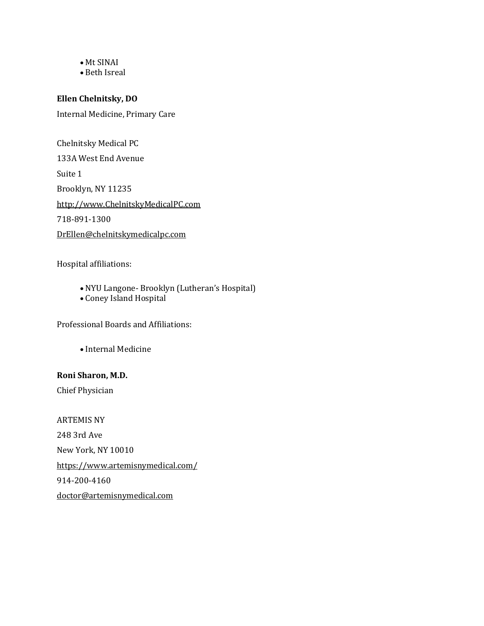#### • Mt SINAI

• Beth Isreal

### **Ellen Chelnitsky, DO**

Internal Medicine, Primary Care

Chelnitsky Medical PC 133A West End Avenue Suite 1 Brooklyn, NY 11235 [http://www.ChelnitskyMedicalPC.com](http://www.chelnitskymedicalpc.com/) 718-891-1300 [DrEllen@chelnitskymedicalpc.com](mailto:DrEllen@chelnitskymedicalpc.com)

Hospital affiliations:

- NYU Langone- Brooklyn (Lutheran's Hospital)
- Coney Island Hospital

Professional Boards and Affiliations:

• Internal Medicine

#### **Roni Sharon, M.D.**

Chief Physician

ARTEMIS NY 248 3rd Ave New York, NY 10010 <https://www.artemisnymedical.com/> 914-200-4160 [doctor@artemisnymedical.com](mailto:doctor@artemisnymedical.com)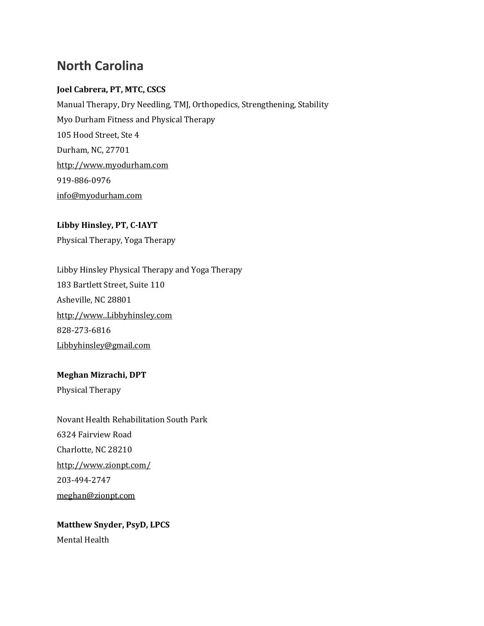## **North Carolina**

## **Joel Cabrera, PT, MTC, CSCS**

Manual Therapy, Dry Needling, TMJ, Orthopedics, Strengthening, Stability Myo Durham Fitness and Physical Therapy 105 Hood Street, Ste 4 Durham, NC, 27701 [http://www.myodurham.com](http://www.myodurham.com/) 919-886-0976 [info@myodurham.com](mailto:info@myodurham.com)

## **Libby Hinsley, PT, C-IAYT** Physical Therapy, Yoga Therapy

Libby Hinsley Physical Therapy and Yoga Therapy 183 Bartlett Street, Suite 110 Asheville, NC 28801 [http://www..Libbyhinsley.com](http://www..libbyhinsley.com/) 828-273-6816 [Libbyhinsley@gmail.com](mailto:Libbyhinsley@gmail.com)

## **Meghan Mizrachi, DPT**

Physical Therapy

Novant Health Rehabilitation South Park 6324 Fairview Road Charlotte, NC 28210 <http://www.zionpt.com/> 203-494-2747 [meghan@zionpt.com](mailto:meghan@zionpt.com)

**Matthew Snyder, PsyD, LPCS** Mental Health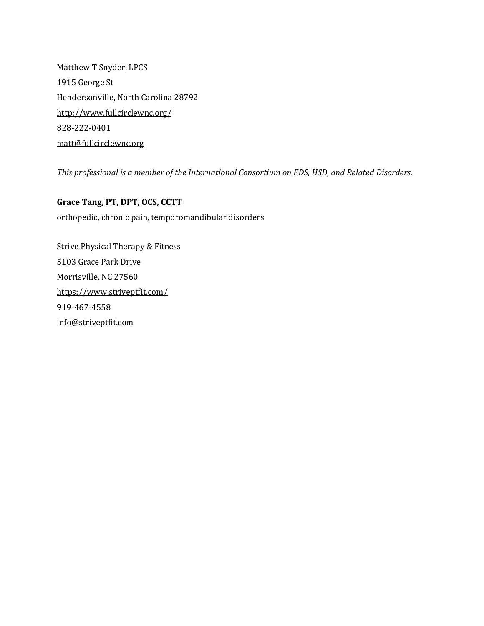Matthew T Snyder, LPCS 1915 George St Hendersonville, North Carolina 28792 <http://www.fullcirclewnc.org/> 828-222-0401 [matt@fullcirclewnc.org](mailto:matt@fullcirclewnc.org)

*This professional is a member of the International Consortium on EDS, HSD, and Related Disorders.*

**Grace Tang, PT, DPT, OCS, CCTT** orthopedic, chronic pain, temporomandibular disorders

Strive Physical Therapy & Fitness 5103 Grace Park Drive Morrisville, NC 27560 <https://www.striveptfit.com/> 919-467-4558 [info@striveptfit.com](mailto:info@striveptfit.com)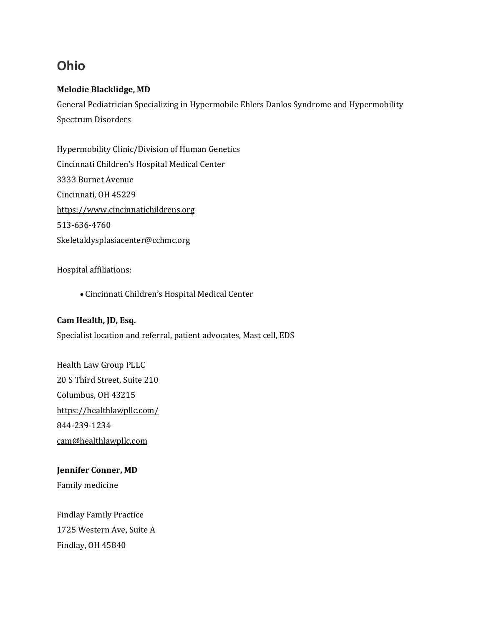## **Ohio**

## **Melodie Blacklidge, MD**

General Pediatrician Specializing in Hypermobile Ehlers Danlos Syndrome and Hypermobility Spectrum Disorders

Hypermobility Clinic/Division of Human Genetics Cincinnati Children's Hospital Medical Center 3333 Burnet Avenue Cincinnati, OH 45229 [https://www.cincinnatichildrens.org](https://www.cincinnatichildrens.org/) 513-636-4760 [Skeletaldysplasiacenter@cchmc.org](mailto:Skeletaldysplasiacenter@cchmc.org)

### Hospital affiliations:

• Cincinnati Children's Hospital Medical Center

### **Cam Health, JD, Esq.**

Specialist location and referral, patient advocates, Mast cell, EDS

Health Law Group PLLC 20 S Third Street, Suite 210 Columbus, OH 43215 <https://healthlawpllc.com/> 844-239-1234 [cam@healthlawpllc.com](mailto:cam@healthlawpllc.com)

**Jennifer Conner, MD** Family medicine

Findlay Family Practice 1725 Western Ave, Suite A Findlay, OH 45840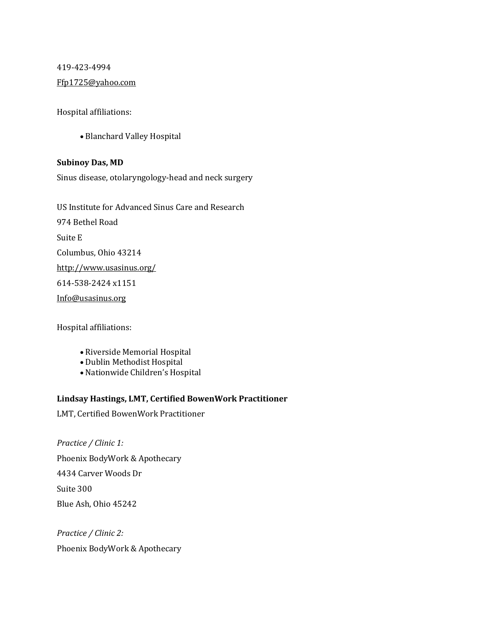419-423-4994 [Ffp1725@yahoo.com](mailto:Ffp1725@yahoo.com)

Hospital affiliations:

• Blanchard Valley Hospital

### **Subinoy Das, MD**

Sinus disease, otolaryngology-head and neck surgery

US Institute for Advanced Sinus Care and Research 974 Bethel Road Suite E Columbus, Ohio 43214 <http://www.usasinus.org/> 614-538-2424 x1151 [Info@usasinus.org](mailto:Info@usasinus.org)

Hospital affiliations:

- Riverside Memorial Hospital
- Dublin Methodist Hospital
- Nationwide Children's Hospital

### **Lindsay Hastings, LMT, Certified BowenWork Practitioner**

LMT, Certified BowenWork Practitioner

*Practice / Clinic 1:* Phoenix BodyWork & Apothecary 4434 Carver Woods Dr Suite 300 Blue Ash, Ohio 45242

*Practice / Clinic 2:* Phoenix BodyWork & Apothecary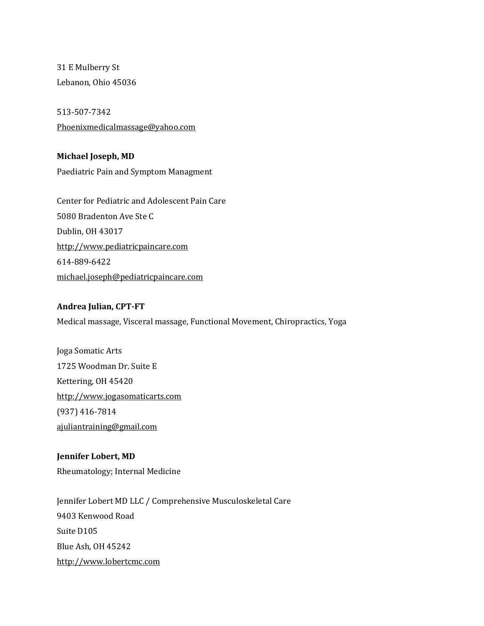31 E Mulberry St Lebanon, Ohio 45036

513-507-7342 [Phoenixmedicalmassage@yahoo.com](mailto:Phoenixmedicalmassage@yahoo.com)

**Michael Joseph, MD** Paediatric Pain and Symptom Managment

Center for Pediatric and Adolescent Pain Care 5080 Bradenton Ave Ste C Dublin, OH 43017 [http://www.pediatricpaincare.com](http://www.pediatricpaincare.com/) 614-889-6422 [michael.joseph@pediatricpaincare.com](mailto:michael.joseph@pediatricpaincare.com)

### **Andrea Julian, CPT-FT**

Medical massage, Visceral massage, Functional Movement, Chiropractics, Yoga

Joga Somatic Arts 1725 Woodman Dr. Suite E Kettering, OH 45420 [http://www.jogasomaticarts.com](http://www.jogasomaticarts.com/) (937) 416-7814 [ajuliantraining@gmail.com](mailto:ajuliantraining@gmail.com)

### **Jennifer Lobert, MD**

Rheumatology; Internal Medicine

Jennifer Lobert MD LLC / Comprehensive Musculoskeletal Care 9403 Kenwood Road Suite D105 Blue Ash, OH 45242 [http://www.lobertcmc.com](http://www.lobertcmc.com/)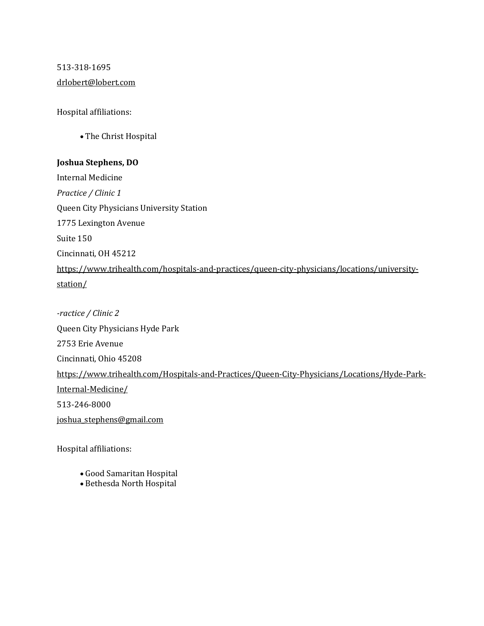# 513-318-1695 [drlobert@lobert.com](mailto:drlobert@lobert.com)

Hospital affiliations:

• The Christ Hospital

### **Joshua Stephens, DO**

Internal Medicine *Practice / Clinic 1* Queen City Physicians University Station 1775 Lexington Avenue Suite 150 Cincinnati, OH 45212 [https://www.trihealth.com/hospitals-and-practices/queen-city-physicians/locations/university](https://www.trihealth.com/hospitals-and-practices/queen-city-physicians/locations/university-station/)[station/](https://www.trihealth.com/hospitals-and-practices/queen-city-physicians/locations/university-station/)

*-ractice / Clinic 2* Queen City Physicians Hyde Park 2753 Erie Avenue Cincinnati, Ohio 45208 [https://www.trihealth.com/Hospitals-and-Practices/Queen-City-Physicians/Locations/Hyde-Park-](https://www.trihealth.com/Hospitals-and-Practices/Queen-City-Physicians/Locations/Hyde-Park-Internal-Medicine/)[Internal-Medicine/](https://www.trihealth.com/Hospitals-and-Practices/Queen-City-Physicians/Locations/Hyde-Park-Internal-Medicine/) 513-246-8000 [joshua\\_stephens@gmail.com](mailto:joshua_stephens@gmail.com)

Hospital affiliations:

- Good Samaritan Hospital
- Bethesda North Hospital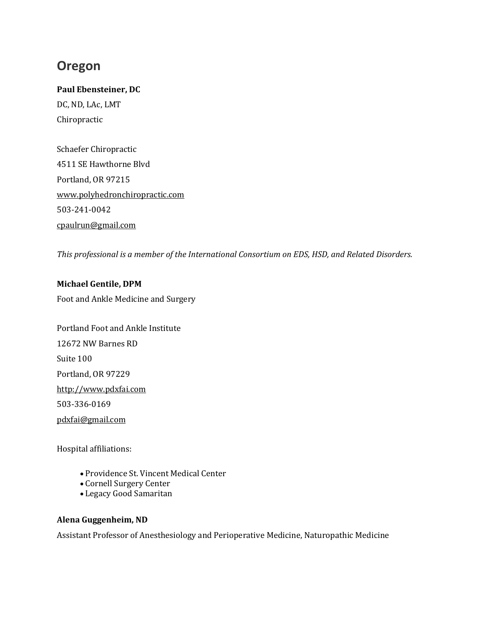# **Oregon**

### **Paul Ebensteiner, DC**

DC, ND, LAc, LMT Chiropractic

Schaefer Chiropractic 4511 SE Hawthorne Blvd Portland, OR 97215 [www.polyhedronchiropractic.com](http://www.polyhedronchiropractic.com/) 503-241-0042 [cpaulrun@gmail.com](mailto:cpaulrun@gmail.com)

*This professional is a member of the International Consortium on EDS, HSD, and Related Disorders.*

**Michael Gentile, DPM** Foot and Ankle Medicine and Surgery

Portland Foot and Ankle Institute 12672 NW Barnes RD Suite 100 Portland, OR 97229 [http://www.pdxfai.com](http://www.pdxfai.com/) 503-336-0169 [pdxfai@gmail.com](mailto:pdxfai@gmail.com)

Hospital affiliations:

- Providence St. Vincent Medical Center
- Cornell Surgery Center
- Legacy Good Samaritan

## **Alena Guggenheim, ND**

Assistant Professor of Anesthesiology and Perioperative Medicine, Naturopathic Medicine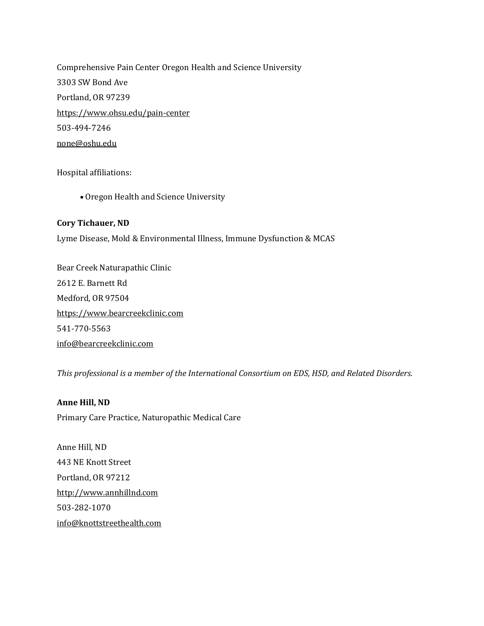Comprehensive Pain Center Oregon Health and Science University 3303 SW Bond Ave Portland, OR 97239 <https://www.ohsu.edu/pain-center> 503-494-7246 [none@oshu.edu](mailto:none@oshu.edu)

Hospital affiliations:

• Oregon Health and Science University

### **Cory Tichauer, ND**

Lyme Disease, Mold & Environmental Illness, Immune Dysfunction & MCAS

Bear Creek Naturapathic Clinic 2612 E. Barnett Rd Medford, OR 97504 [https://www.bearcreekclinic.com](http://bearcreekclinic.com/) 541-770-5563 [info@bearcreekclinic.com](mailto:info@bearcreekclinic.com)

*This professional is a member of the International Consortium on EDS, HSD, and Related Disorders.*

**Anne Hill, ND** Primary Care Practice, Naturopathic Medical Care

Anne Hill, ND 443 NE Knott Street Portland, OR 97212 [http://www.annhillnd.com](http://www.annehillnd.com/) 503-282-1070 [info@knottstreethealth.com](mailto:info@knottstreethealth.com)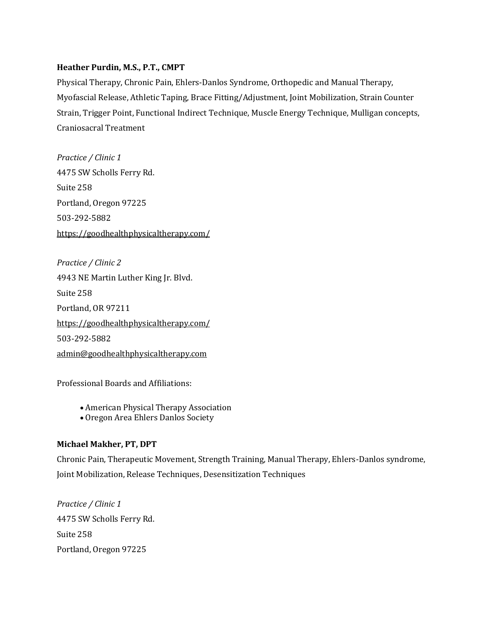### **Heather Purdin, M.S., P.T., CMPT**

Physical Therapy, Chronic Pain, Ehlers-Danlos Syndrome, Orthopedic and Manual Therapy, Myofascial Release, Athletic Taping, Brace Fitting/Adjustment, Joint Mobilization, Strain Counter Strain, Trigger Point, Functional Indirect Technique, Muscle Energy Technique, Mulligan concepts, Craniosacral Treatment

*Practice / Clinic 1* 4475 SW Scholls Ferry Rd. Suite 258 Portland, Oregon 97225 503-292-5882 <https://goodhealthphysicaltherapy.com/>

*Practice / Clinic 2* 4943 NE Martin Luther King Jr. Blvd. Suite 258 Portland, OR 97211 <https://goodhealthphysicaltherapy.com/> 503-292-5882 [admin@goodhealthphysicaltherapy.com](mailto:admin@goodhealthphysicaltherapy.com)

Professional Boards and Affiliations:

- American Physical Therapy Association
- Oregon Area Ehlers Danlos Society

## **Michael Makher, PT, DPT**

Chronic Pain, Therapeutic Movement, Strength Training, Manual Therapy, Ehlers-Danlos syndrome, Joint Mobilization, Release Techniques, Desensitization Techniques

*Practice / Clinic 1* 4475 SW Scholls Ferry Rd. Suite 258 Portland, Oregon 97225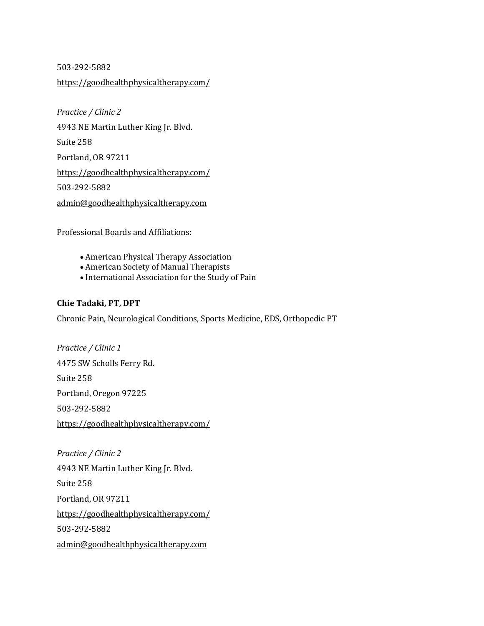503-292-5882

<https://goodhealthphysicaltherapy.com/>

*Practice / Clinic 2* 4943 NE Martin Luther King Jr. Blvd. Suite 258 Portland, OR 97211 <https://goodhealthphysicaltherapy.com/> 503-292-5882 [admin@goodhealthphysicaltherapy.com](mailto:admin@goodhealthphysicaltherapy.com)

Professional Boards and Affiliations:

- American Physical Therapy Association
- American Society of Manual Therapists
- International Association for the Study of Pain

### **Chie Tadaki, PT, DPT**

Chronic Pain, Neurological Conditions, Sports Medicine, EDS, Orthopedic PT

*Practice / Clinic 1* 4475 SW Scholls Ferry Rd. Suite 258 Portland, Oregon 97225 503-292-5882 <https://goodhealthphysicaltherapy.com/>

*Practice / Clinic 2* 4943 NE Martin Luther King Jr. Blvd. Suite 258 Portland, OR 97211 <https://goodhealthphysicaltherapy.com/> 503-292-5882 [admin@goodhealthphysicaltherapy.com](mailto:admin@goodhealthphysicaltherapy.com)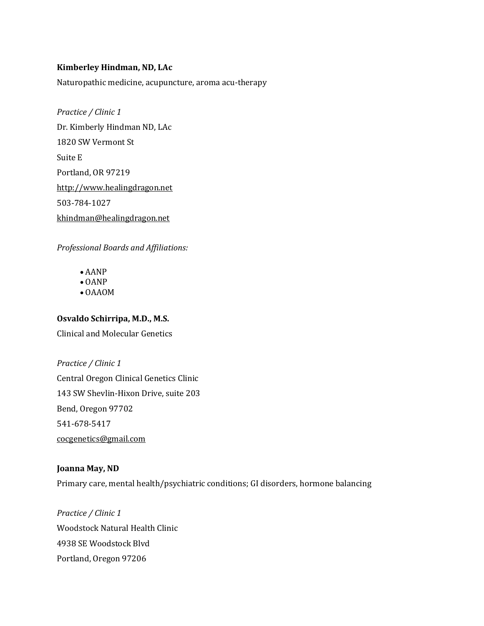### **Kimberley Hindman, ND, LAc**

Naturopathic medicine, acupuncture, aroma acu-therapy

*Practice / Clinic 1* Dr. Kimberly Hindman ND, LAc 1820 SW Vermont St Suite E Portland, OR 97219 [http://www.healingdragon.net](http://www.healingdragon.net/) 503-784-1027 [khindman@healingdragon.net](mailto:khindman@healingdragon.net)

*Professional Boards and Affiliations:*

- AANP
- OANP
- OAAOM

### **Osvaldo Schirripa, M.D., M.S.**

Clinical and Molecular Genetics

*Practice / Clinic 1* Central Oregon Clinical Genetics Clinic 143 SW Shevlin-Hixon Drive, suite 203 Bend, Oregon 97702 541-678-5417 [cocgenetics@gmail.com](mailto:cocgenetics@gmail.com)

### **Joanna May, ND**

Primary care, mental health/psychiatric conditions; GI disorders, hormone balancing

*Practice / Clinic 1* Woodstock Natural Health Clinic 4938 SE Woodstock Blvd Portland, Oregon 97206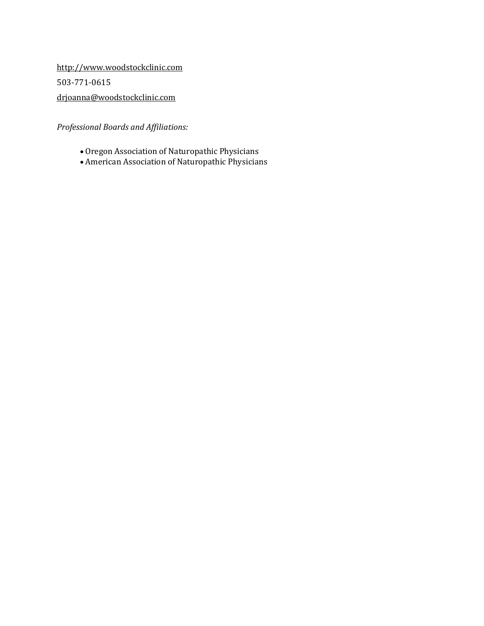[http://www.woodstockclinic.com](http://www.woodstockclinic.com/) 503-771-0615 [drjoanna@woodstockclinic.com](mailto:drjoanna@woodstockclinic.com)

*Professional Boards and Affiliations:*

- Oregon Association of Naturopathic Physicians
- American Association of Naturopathic Physicians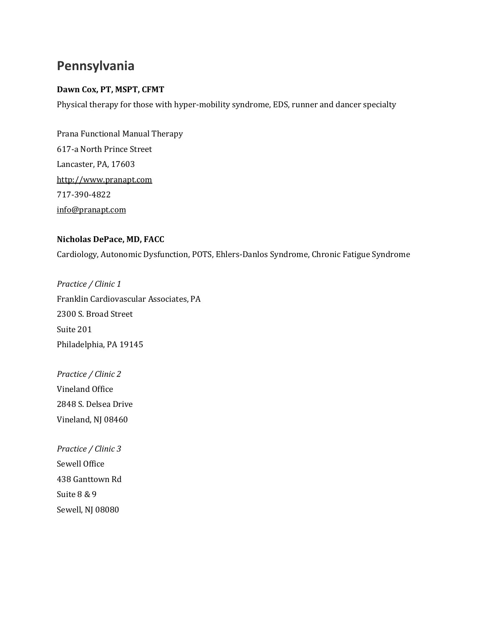# **Pennsylvania**

### **Dawn Cox, PT, MSPT, CFMT**

Physical therapy for those with hyper-mobility syndrome, EDS, runner and dancer specialty

Prana Functional Manual Therapy 617-a North Prince Street Lancaster, PA, 17603 [http://www.pranapt.com](http://www.pranapt.com/) 717-390-4822 [info@pranapt.com](mailto:info@pranapt.com)

### **Nicholas DePace, MD, FACC**

Cardiology, Autonomic Dysfunction, POTS, Ehlers-Danlos Syndrome, Chronic Fatigue Syndrome

*Practice / Clinic 1* Franklin Cardiovascular Associates, PA 2300 S. Broad Street Suite 201 Philadelphia, PA 19145

*Practice / Clinic 2* Vineland Office 2848 S. Delsea Drive Vineland, NJ 08460

*Practice / Clinic 3* Sewell Office 438 Ganttown Rd Suite 8 & 9 Sewell, NJ 08080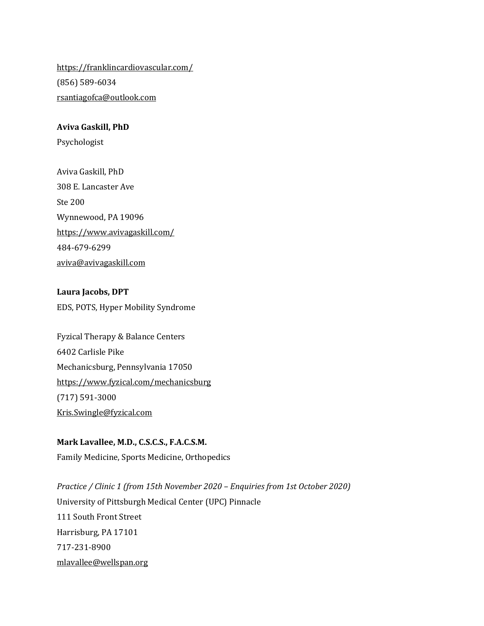<https://franklincardiovascular.com/> (856) 589-6034 [rsantiagofca@outlook.com](mailto:rsantiagofca@outlook.com)

### **Aviva Gaskill, PhD**

Psychologist

Aviva Gaskill, PhD 308 E. Lancaster Ave Ste 200 Wynnewood, PA 19096 <https://www.avivagaskill.com/> 484-679-6299 [aviva@avivagaskill.com](mailto:aviva@avivagaskill.com)

**Laura Jacobs, DPT** EDS, POTS, Hyper Mobility Syndrome

Fyzical Therapy & Balance Centers 6402 Carlisle Pike Mechanicsburg, Pennsylvania 17050 <https://www.fyzical.com/mechanicsburg> (717) 591-3000 [Kris.Swingle@fyzical.com](mailto:Kris.Swingle@fyzical.com)

**Mark Lavallee, M.D., C.S.C.S., F.A.C.S.M.** Family Medicine, Sports Medicine, Orthopedics

*Practice / Clinic 1 (from 15th November 2020 – Enquiries from 1st October 2020)* University of Pittsburgh Medical Center (UPC) Pinnacle 111 South Front Street Harrisburg, PA 17101 717-231-8900 [mlavallee@wellspan.org](mailto:mlavallee@wellspan.org)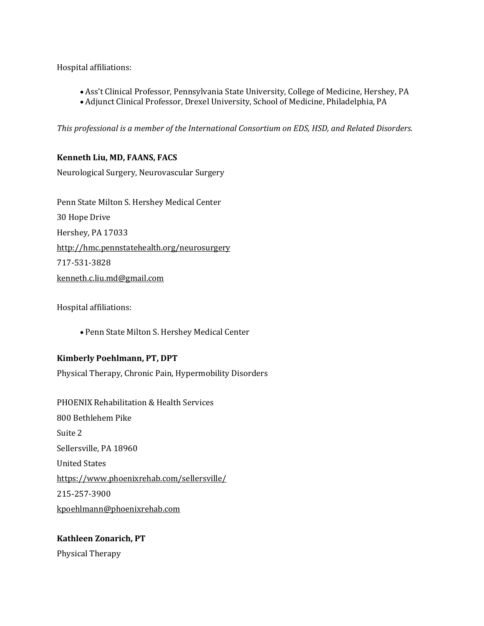Hospital affiliations:

- Ass't Clinical Professor, Pennsylvania State University, College of Medicine, Hershey, PA
- Adjunct Clinical Professor, Drexel University, School of Medicine, Philadelphia, PA

*This professional is a member of the International Consortium on EDS, HSD, and Related Disorders.*

# **Kenneth Liu, MD, FAANS, FACS**

Neurological Surgery, Neurovascular Surgery

Penn State Milton S. Hershey Medical Center 30 Hope Drive Hershey, PA 17033 <http://hmc.pennstatehealth.org/neurosurgery> 717-531-3828 [kenneth.c.liu.md@gmail.com](mailto:kenneth.c.liu.md@gmail.com)

Hospital affiliations:

• Penn State Milton S. Hershey Medical Center

### **Kimberly Poehlmann, PT, DPT**

Physical Therapy, Chronic Pain, Hypermobility Disorders

PHOENIX Rehabilitation & Health Services 800 Bethlehem Pike Suite 2 Sellersville, PA 18960 United States <https://www.phoenixrehab.com/sellersville/> 215-257-3900 [kpoehlmann@phoenixrehab.com](mailto:kpoehlmann@phoenixrehab.com)

# **Kathleen Zonarich, PT**

Physical Therapy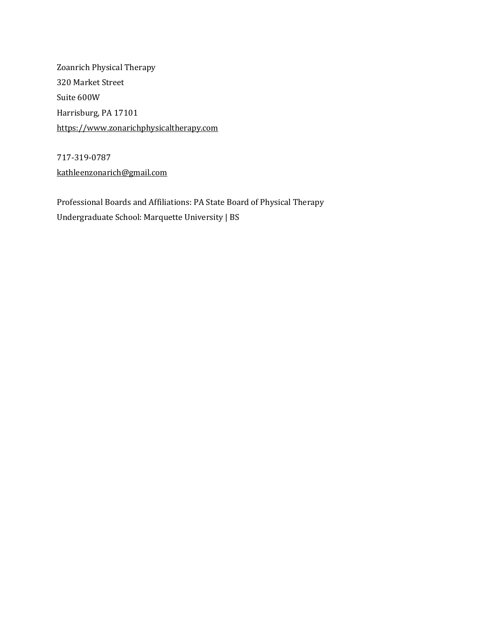Zoanrich Physical Therapy 320 Market Street Suite 600W Harrisburg, PA 17101 [https://www.zonarichphysicaltherapy.com](https://www.zonarichphysicaltherapy.com/)

717-319-0787 [kathleenzonarich@gmail.com](mailto:kathleenzonarich@gmail.com)

Professional Boards and Affiliations: PA State Board of Physical Therapy Undergraduate School: Marquette University | BS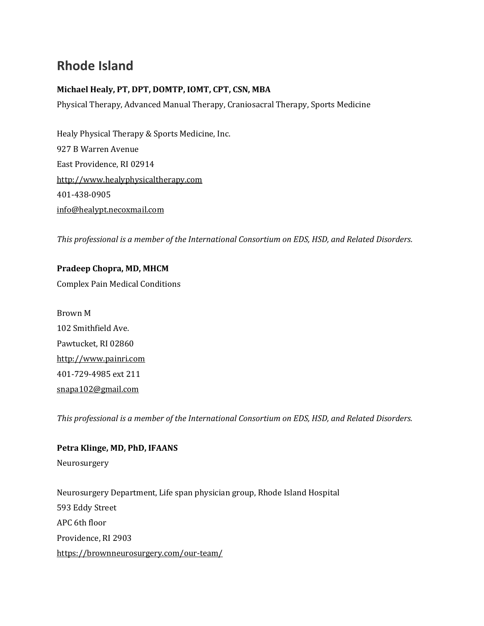# **Rhode Island**

## **Michael Healy, PT, DPT, DOMTP, IOMT, CPT, CSN, MBA**

Physical Therapy, Advanced Manual Therapy, Craniosacral Therapy, Sports Medicine

Healy Physical Therapy & Sports Medicine, Inc. 927 B Warren Avenue East Providence, RI 02914 [http://www.healyphysicaltherapy.com](http://www.healyphysicaltherapy.com/) 401-438-0905 [info@healypt.necoxmail.com](mailto:info@healypt.necoxmail.com)

*This professional is a member of the International Consortium on EDS, HSD, and Related Disorders.*

**Pradeep Chopra, MD, MHCM** Complex Pain Medical Conditions

Brown M 102 Smithfield Ave. Pawtucket, RI 02860 [http://www.painri.com](http://www.painri.com/) 401-729-4985 ext 211 [snapa102@gmail.com](mailto:snapa102@gmail.com)

*This professional is a member of the International Consortium on EDS, HSD, and Related Disorders.*

**Petra Klinge, MD, PhD, IFAANS** Neurosurgery Neurosurgery Department, Life span physician group, Rhode Island Hospital 593 Eddy Street APC 6th floor Providence, RI 2903 <https://brownneurosurgery.com/our-team/>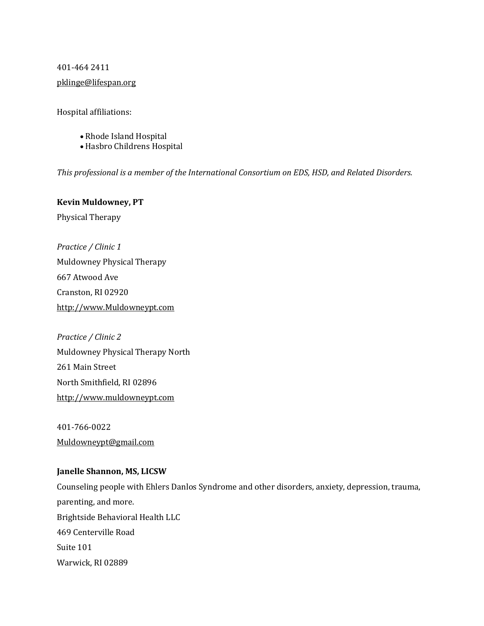### 401-464 2411

### [pklinge@lifespan.org](mailto:pklinge@lifespan.org)

Hospital affiliations:

- Rhode Island Hospital
- Hasbro Childrens Hospital

*This professional is a member of the International Consortium on EDS, HSD, and Related Disorders.*

### **Kevin Muldowney, PT**

Physical Therapy

*Practice / Clinic 1* Muldowney Physical Therapy 667 Atwood Ave Cranston, RI 02920 [http://www.Muldowneypt.com](http://www.muldowneypt.com/)

*Practice / Clinic 2* Muldowney Physical Therapy North 261 Main Street North Smithfield, RI 02896 [http://www.muldowneypt.com](http://www.muldowneypt.com/)

401-766-0022 [Muldowneypt@gmail.com](mailto:Muldowneypt@gmail.com)

### **Janelle Shannon, MS, LICSW**

Counseling people with Ehlers Danlos Syndrome and other disorders, anxiety, depression, trauma, parenting, and more. Brightside Behavioral Health LLC 469 Centerville Road Suite 101 Warwick, RI 02889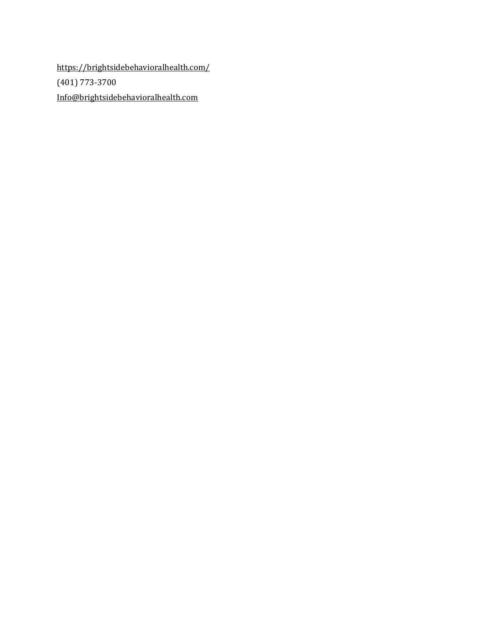<https://brightsidebehavioralhealth.com/> (401) 773-3700 [Info@brightsidebehavioralhealth.com](mailto:Info@brightsidebehavioralhealth.com)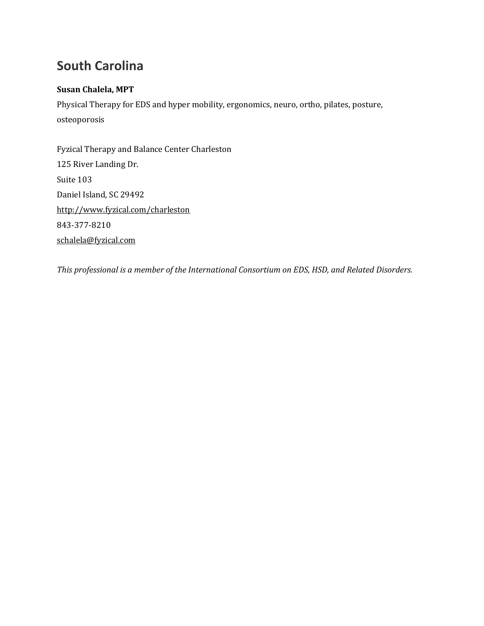# **South Carolina**

## **Susan Chalela, MPT**

Physical Therapy for EDS and hyper mobility, ergonomics, neuro, ortho, pilates, posture, osteoporosis

Fyzical Therapy and Balance Center Charleston 125 River Landing Dr. Suite 103 Daniel Island, SC 29492 <http://www.fyzical.com/charleston> 843-377-8210 [schalela@fyzical.com](mailto:schalela@fyzical.com)

*This professional is a member of the International Consortium on EDS, HSD, and Related Disorders.*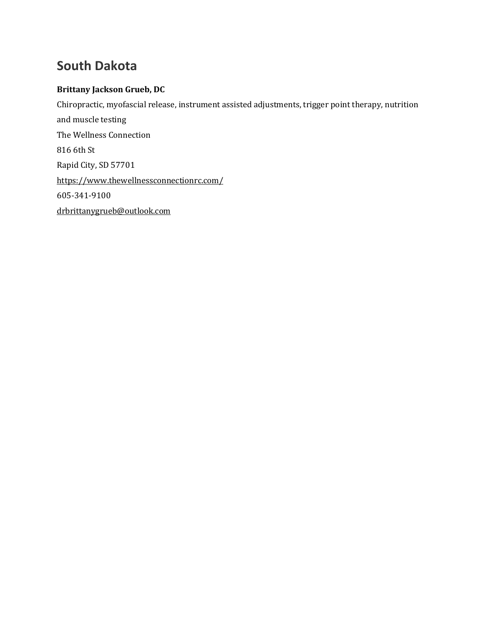# **South Dakota**

# **Brittany Jackson Grueb, DC**

Chiropractic, myofascial release, instrument assisted adjustments, trigger point therapy, nutrition and muscle testing The Wellness Connection 816 6th St Rapid City, SD 57701 <https://www.thewellnessconnectionrc.com/> 605-341-9100 [drbrittanygrueb@outlook.com](mailto:drbrittanygrueb@outlook.com)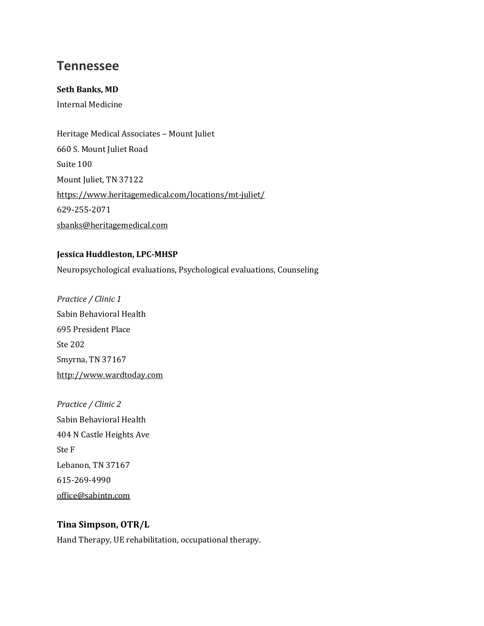# **Tennessee**

### **Seth Banks, MD**

Internal Medicine

Heritage Medical Associates – Mount Juliet 660 S. Mount Juliet Road Suite 100 Mount Juliet, TN 37122 <https://www.heritagemedical.com/locations/mt-juliet/> 629-255-2071 [sbanks@heritagemedical.com](mailto:sbanks@heritagemedical.com)

# **Jessica Huddleston, LPC-MHSP**

Neuropsychological evaluations, Psychological evaluations, Counseling

*Practice / Clinic 1* Sabin Behavioral Health 695 President Place Ste 202 Smyrna, TN 37167 [http://www.wardtoday.com](http://www.wardtoday.com/)

*Practice / Clinic 2* Sabin Behavioral Health 404 N Castle Heights Ave Ste F Lebanon, TN 37167 615-269-4990 [office@sabintn.com](mailto:office@sabintn.com)

## **Tina Simpson, OTR/L**

Hand Therapy, UE rehabilitation, occupational therapy.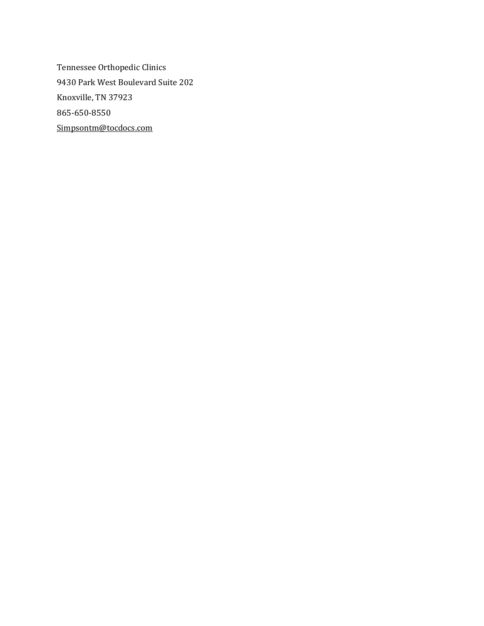Tennessee Orthopedic Clinics 9430 Park West Boulevard Suite 202 Knoxville, TN 37923 865-650-8550 [Simpsontm@tocdocs.com](mailto:Simpsontm@tocdocs.com)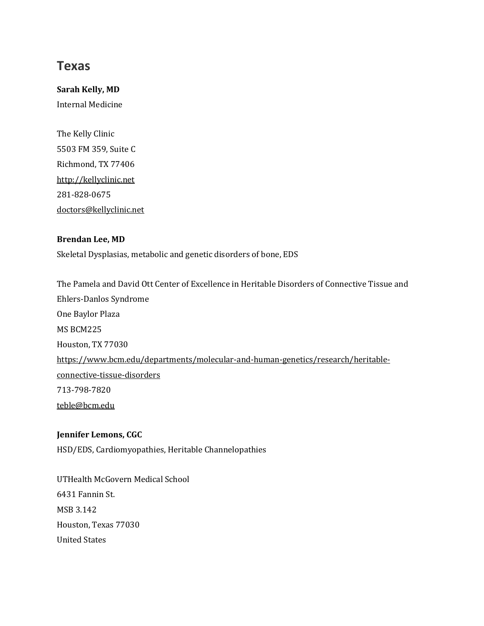# **Texas**

**Sarah Kelly, MD** Internal Medicine

The Kelly Clinic 5503 FM 359, Suite C Richmond, TX 77406 [http://kellyclinic.net](http://kellyclinic.net/) 281-828-0675 [doctors@kellyclinic.net](mailto:doctors@kellyclinic.net)

### **Brendan Lee, MD**

Skeletal Dysplasias, metabolic and genetic disorders of bone, EDS

The Pamela and David Ott Center of Excellence in Heritable Disorders of Connective Tissue and Ehlers-Danlos Syndrome One Baylor Plaza MS BCM225 Houston, TX 77030 [https://www.bcm.edu/departments/molecular-and-human-genetics/research/heritable](https://www.bcm.edu/departments/molecular-and-human-genetics/research/heritable-connective-tissue-disorders)[connective-tissue-disorders](https://www.bcm.edu/departments/molecular-and-human-genetics/research/heritable-connective-tissue-disorders) 713-798-7820 [teble@bcm.edu](mailto:teble@bcm.edu)

### **Jennifer Lemons, CGC**

HSD/EDS, Cardiomyopathies, Heritable Channelopathies

UTHealth McGovern Medical School 6431 Fannin St. MSB 3.142 Houston, Texas 77030 United States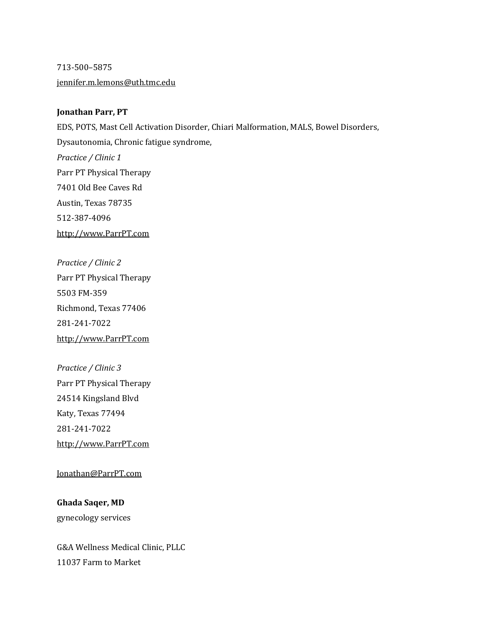713-500–5875 [jennifer.m.lemons@uth.tmc.edu](mailto:jennifer.m.lemons@uth.tmc.edu)

### **Jonathan Parr, PT**

EDS, POTS, Mast Cell Activation Disorder, Chiari Malformation, MALS, Bowel Disorders, Dysautonomia, Chronic fatigue syndrome, *Practice / Clinic 1* Parr PT Physical Therapy 7401 Old Bee Caves Rd Austin, Texas 78735 512-387-4096 [http://www.ParrPT.com](http://www.parrpt.com/)

*Practice / Clinic 2* Parr PT Physical Therapy 5503 FM-359 Richmond, Texas 77406 281-241-7022 [http://www.ParrPT.com](http://www.parrpt.com/)

*Practice / Clinic 3* Parr PT Physical Therapy 24514 Kingsland Blvd Katy, Texas 77494 281-241-7022 [http://www.ParrPT.com](http://www.parrpt.com/)

[Jonathan@ParrPT.com](mailto:Jonathan@ParrPT.com)

**Ghada Saqer, MD** gynecology services

G&A Wellness Medical Clinic, PLLC 11037 Farm to Market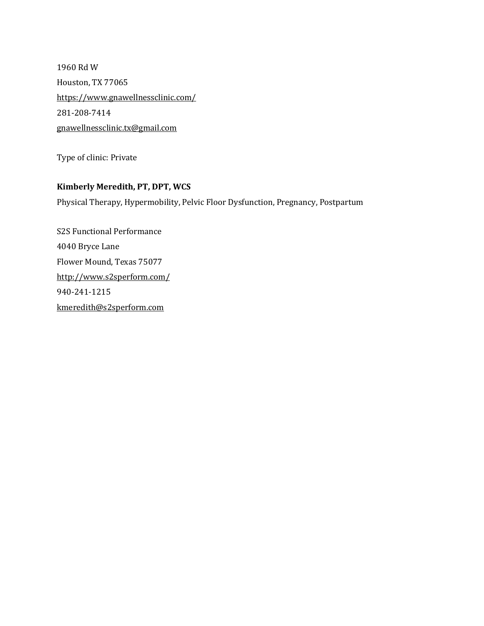1960 Rd W Houston, TX 77065 <https://www.gnawellnessclinic.com/> 281-208-7414 [gnawellnessclinic.tx@gmail.com](mailto:gnawellnessclinic.tx@gmail.com)

Type of clinic: Private

## **Kimberly Meredith, PT, DPT, WCS**

Physical Therapy, Hypermobility, Pelvic Floor Dysfunction, Pregnancy, Postpartum

S2S Functional Performance 4040 Bryce Lane Flower Mound, Texas 75077 <http://www.s2sperform.com/> 940-241-1215 [kmeredith@s2sperform.com](mailto:kmeredith@s2sperform.com)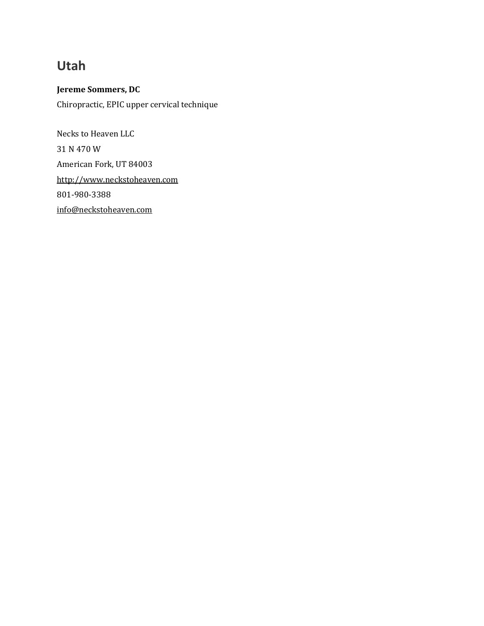# **Utah**

**Jereme Sommers, DC** Chiropractic, EPIC upper cervical technique

Necks to Heaven LLC 31 N 470 W American Fork, UT 84003 [http://www.neckstoheaven.com](http://www.neckstoheaven.com/) 801-980-3388 [info@neckstoheaven.com](mailto:info@neckstoheaven.com)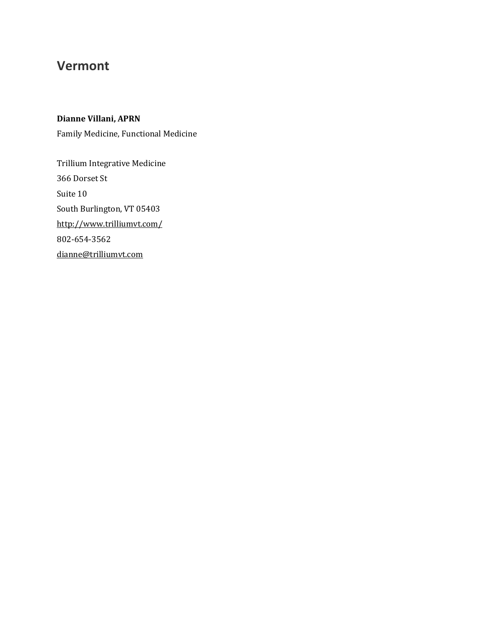# **Vermont**

**Dianne Villani, APRN**

Family Medicine, Functional Medicine

Trillium Integrative Medicine 366 Dorset St Suite 10 South Burlington, VT 05403 <http://www.trilliumvt.com/> 802-654-3562 [dianne@trilliumvt.com](mailto:dianne@trilliumvt.com)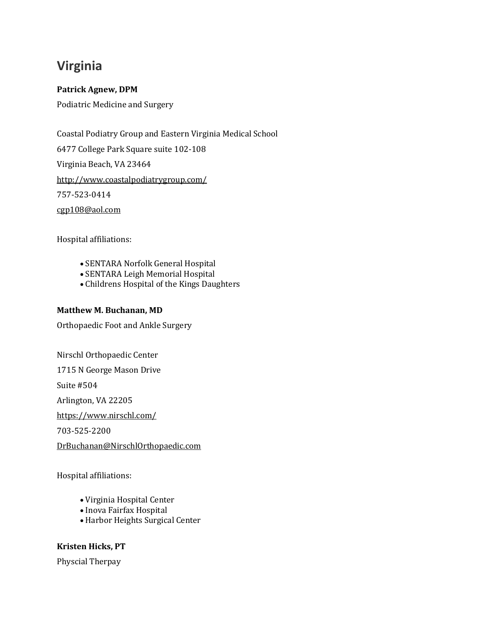# **Virginia**

## **Patrick Agnew, DPM**

Podiatric Medicine and Surgery

Coastal Podiatry Group and Eastern Virginia Medical School 6477 College Park Square suite 102-108 Virginia Beach, VA 23464 <http://www.coastalpodiatrygroup.com/> 757-523-0414 [cgp108@aol.com](mailto:cgp108@aol.com)

Hospital affiliations:

- SENTARA Norfolk General Hospital
- SENTARA Leigh Memorial Hospital
- Childrens Hospital of the Kings Daughters

### **Matthew M. Buchanan, MD**

Orthopaedic Foot and Ankle Surgery

Nirschl Orthopaedic Center

1715 N George Mason Drive

Suite #504

Arlington, VA 22205

<https://www.nirschl.com/>

703-525-2200

[DrBuchanan@NirschlOrthopaedic.com](mailto:DrBuchanan@NirschlOrthopaedic.com)

Hospital affiliations:

- Virginia Hospital Center
- Inova Fairfax Hospital
- Harbor Heights Surgical Center

## **Kristen Hicks, PT**

Physcial Therpay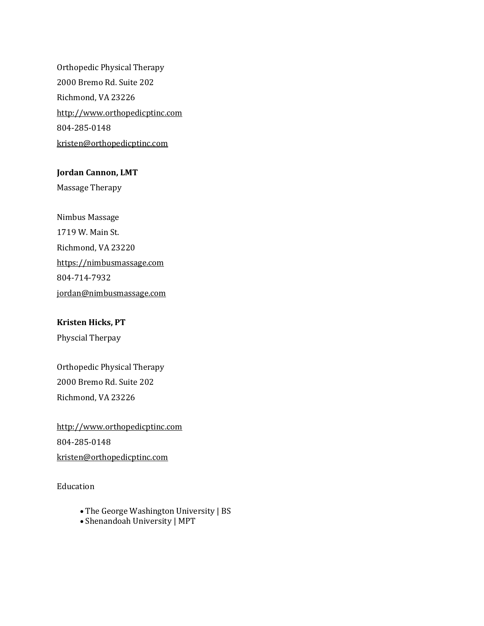Orthopedic Physical Therapy 2000 Bremo Rd. Suite 202 Richmond, VA 23226 [http://www.orthopedicptinc.com](http://www.orthopedicptinc.com/) 804-285-0148 [kristen@orthopedicptinc.com](mailto:kristen@orthopedicptinc.com)

### **Jordan Cannon, LMT**

Massage Therapy

Nimbus Massage 1719 W. Main St. Richmond, VA 23220 [https://nimbusmassage.com](https://nimbusmassage.com/) 804-714-7932 [jordan@nimbusmassage.com](mailto:jordan@nimbusmassage.com)

# **Kristen Hicks, PT**

Physcial Therpay

Orthopedic Physical Therapy 2000 Bremo Rd. Suite 202 Richmond, VA 23226

[http://www.orthopedicptinc.com](http://www.orthopedicptinc.com/) 804-285-0148 [kristen@orthopedicptinc.com](mailto:kristen@orthopedicptinc.com)

Education

- The George Washington University | BS
- Shenandoah University | MPT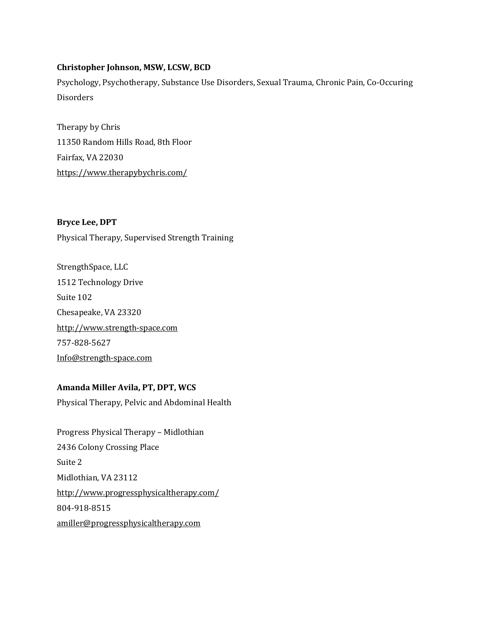### **Christopher Johnson, MSW, LCSW, BCD**

Psychology, Psychotherapy, Substance Use Disorders, Sexual Trauma, Chronic Pain, Co-Occuring **Disorders** 

Therapy by Chris 11350 Random Hills Road, 8th Floor Fairfax, VA 22030 <https://www.therapybychris.com/>

**Bryce Lee, DPT** Physical Therapy, Supervised Strength Training

StrengthSpace, LLC 1512 Technology Drive Suite 102 Chesapeake, VA 23320 [http://www.strength-space.com](http://www.strength-space.com/) 757-828-5627 [Info@strength-space.com](mailto:Info@strength-space.com)

## **Amanda Miller Avila, PT, DPT, WCS**

Physical Therapy, Pelvic and Abdominal Health

Progress Physical Therapy – Midlothian 2436 Colony Crossing Place Suite 2 Midlothian, VA 23112 <http://www.progressphysicaltherapy.com/> 804-918-8515 [amiller@progressphysicaltherapy.com](mailto:amiller@progressphysicaltherapy.com)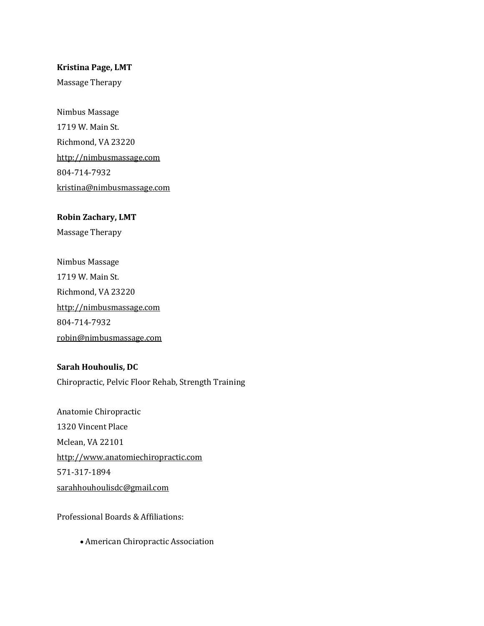### **Kristina Page, LMT**

Massage Therapy

Nimbus Massage 1719 W. Main St. Richmond, VA 23220 [http://nimbusmassage.com](http://nimbusmassage.com/) 804-714-7932 [kristina@nimbusmassage.com](mailto:kristina@nimbusmassage.com)

# **Robin Zachary, LMT**

Massage Therapy

Nimbus Massage 1719 W. Main St. Richmond, VA 23220 [http://nimbusmassage.com](http://nimbusmassage.com/) 804-714-7932 [robin@nimbusmassage.com](mailto:robin@nimbusmassage.com)

### **Sarah Houhoulis, DC**

Chiropractic, Pelvic Floor Rehab, Strength Training

Anatomie Chiropractic 1320 Vincent Place Mclean, VA 22101 [http://www.anatomiechiropractic.com](https://www.anatomiechiropractic.com/) 571-317-1894 [sarahhouhoulisdc@gmail.com](mailto:sarahhouhoulisdc@gmail.com)

Professional Boards & Affiliations:

• American Chiropractic Association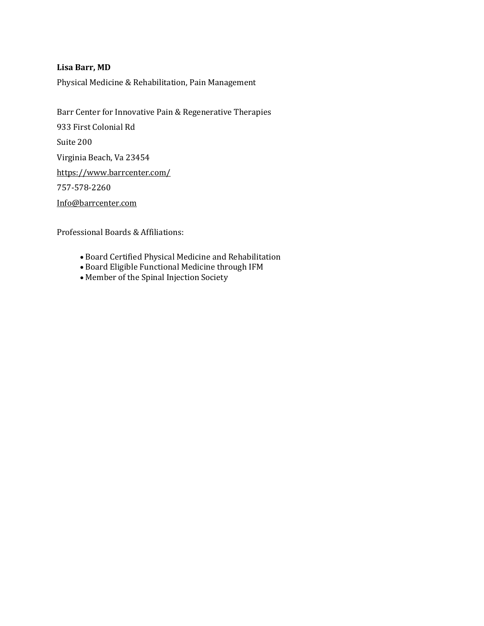### **Lisa Barr, MD**

Physical Medicine & Rehabilitation, Pain Management

Barr Center for Innovative Pain & Regenerative Therapies 933 First Colonial Rd Suite 200 Virginia Beach, Va 23454 [https://www.barrcenter.com/](https://barrcenter.com/) 757-578-2260 [Info@barrcenter.com](mailto:Info@barrcenter.com)

Professional Boards & Affiliations:

- Board Certified Physical Medicine and Rehabilitation
- Board Eligible Functional Medicine through IFM
- Member of the Spinal Injection Society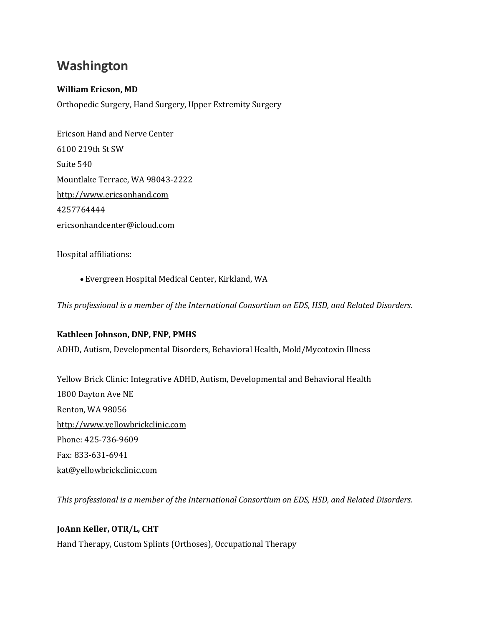# **Washington**

## **William Ericson, MD**

Orthopedic Surgery, Hand Surgery, Upper Extremity Surgery

Ericson Hand and Nerve Center 6100 219th St SW Suite 540 Mountlake Terrace, WA 98043-2222 [http://www.ericsonhand.com](http://www.ericsonhand.com/) 4257764444 [ericsonhandcenter@icloud.com](mailto:ericsonhandcenter@icloud.com)

Hospital affiliations:

• Evergreen Hospital Medical Center, Kirkland, WA

*This professional is a member of the International Consortium on EDS, HSD, and Related Disorders.*

### **Kathleen Johnson, DNP, FNP, PMHS**

ADHD, Autism, Developmental Disorders, Behavioral Health, Mold/Mycotoxin Illness

Yellow Brick Clinic: Integrative ADHD, Autism, Developmental and Behavioral Health 1800 Dayton Ave NE Renton, WA 98056 [http://www.yellowbrickclinic.com](http://www.yellowbrickclinic.com/) Phone: 425-736-9609 Fax: 833-631-6941 [kat@yellowbrickclinic.com](mailto:kat@yellowbrickclinic.com)

*This professional is a member of the International Consortium on EDS, HSD, and Related Disorders.*

### **JoAnn Keller, OTR/L, CHT**

Hand Therapy, Custom Splints (Orthoses), Occupational Therapy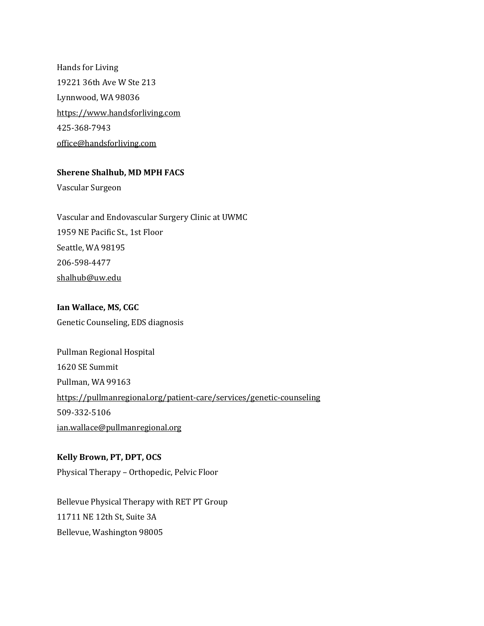Hands for Living 19221 36th Ave W Ste 213 Lynnwood, WA 98036 [https://www.handsforliving.com](https://www.handsforliving.com/) 425-368-7943 [office@handsforliving.com](mailto:office@handsforliving.com)

### **Sherene Shalhub, MD MPH FACS**

Vascular Surgeon

Vascular and Endovascular Surgery Clinic at UWMC 1959 NE Pacific St., 1st Floor Seattle, WA 98195 206-598-4477 [shalhub@uw.edu](mailto:shalhub@uw.edu)

**Ian Wallace, MS, CGC** Genetic Counseling, EDS diagnosis

Pullman Regional Hospital 1620 SE Summit Pullman, WA 99163 <https://pullmanregional.org/patient-care/services/genetic-counseling> 509-332-5106 [ian.wallace@pullmanregional.org](mailto:ian.wallace@pullmanregional.org)

**Kelly Brown, PT, DPT, OCS** Physical Therapy – Orthopedic, Pelvic Floor

Bellevue Physical Therapy with RET PT Group 11711 NE 12th St, Suite 3A Bellevue, Washington 98005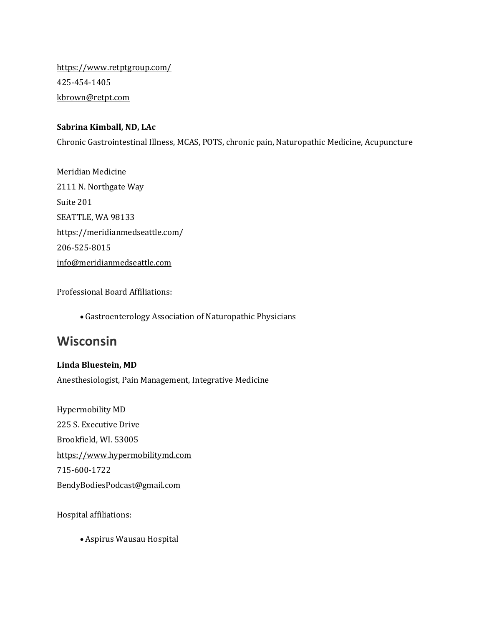<https://www.retptgroup.com/> 425-454-1405 [kbrown@retpt.com](mailto:kbrown@retpt.com)

### **Sabrina Kimball, ND, LAc**

Chronic Gastrointestinal Illness, MCAS, POTS, chronic pain, Naturopathic Medicine, Acupuncture

Meridian Medicine 2111 N. Northgate Way Suite 201 SEATTLE, WA 98133 <https://meridianmedseattle.com/> 206-525-8015 [info@meridianmedseattle.com](mailto:info@meridianmedseattle.com)

Professional Board Affiliations:

• Gastroenterology Association of Naturopathic Physicians

# **Wisconsin**

### **Linda Bluestein, MD**

Anesthesiologist, Pain Management, Integrative Medicine

Hypermobility MD 225 S. Executive Drive Brookfield, WI. 53005 [https://www.hypermobilitymd.com](https://www.hypermobilitymd.com/) 715-600-1722 [BendyBodiesPodcast@gmail.com](mailto:BendyBodiesPodcast@gmail.com)

Hospital affiliations:

• Aspirus Wausau Hospital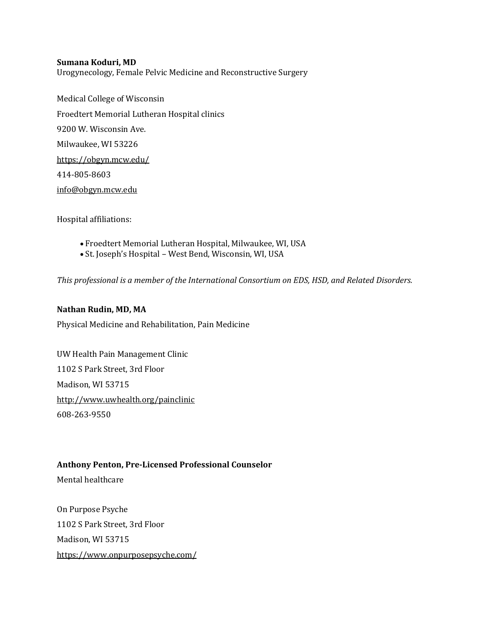### **Sumana Koduri, MD**

Urogynecology, Female Pelvic Medicine and Reconstructive Surgery

Medical College of Wisconsin Froedtert Memorial Lutheran Hospital clinics 9200 W. Wisconsin Ave. Milwaukee, WI 53226 <https://obgyn.mcw.edu/> 414-805-8603 [info@obgyn.mcw.edu](mailto:info@obgyn.mcw.edu)

Hospital affiliations:

- Froedtert Memorial Lutheran Hospital, Milwaukee, WI, USA
- St. Joseph's Hospital West Bend, Wisconsin, WI, USA

*This professional is a member of the International Consortium on EDS, HSD, and Related Disorders.*

### **Nathan Rudin, MD, MA**

Physical Medicine and Rehabilitation, Pain Medicine

UW Health Pain Management Clinic 1102 S Park Street, 3rd Floor Madison, WI 53715 <http://www.uwhealth.org/painclinic> 608-263-9550

### **Anthony Penton, Pre-Licensed Professional Counselor**

Mental healthcare

On Purpose Psyche 1102 S Park Street, 3rd Floor Madison, WI 53715 <https://www.onpurposepsyche.com/>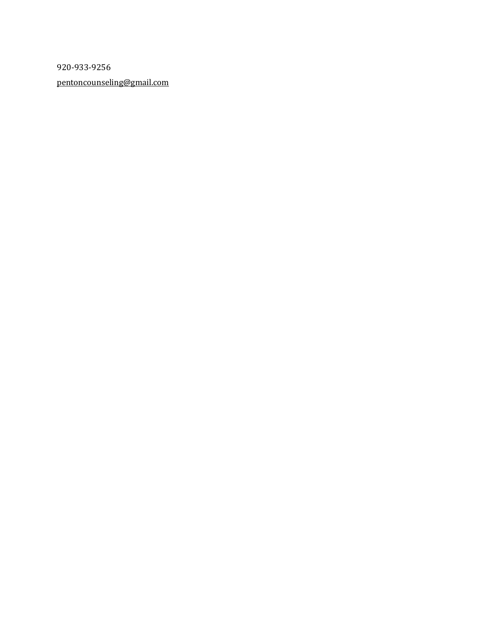920-933-9256 [pentoncounseling@gmail.com](mailto:pentoncounseling@gmail.com)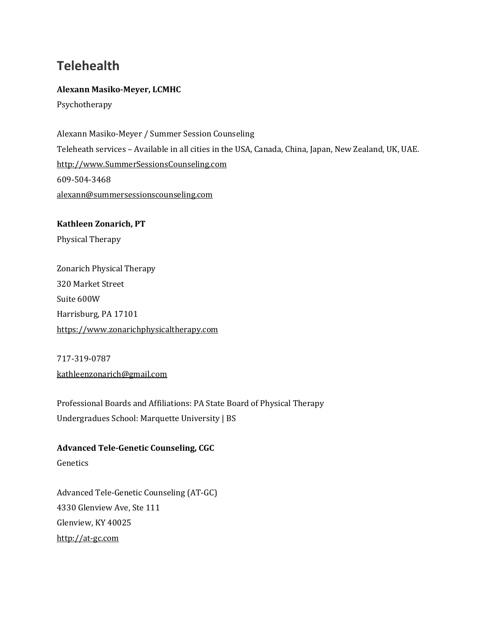# **Telehealth**

### **Alexann Masiko-Meyer, LCMHC**

Psychotherapy

Alexann Masiko-Meyer / Summer Session Counseling Teleheath services – Available in all cities in the USA, Canada, China, Japan, New Zealand, UK, UAE. [http://www.SummerSessionsCounseling.com](http://www.summersessionscounseling.com/) 609-504-3468 [alexann@summersessionscounseling.com](mailto:alexann@summersessionscounseling.com)

**Kathleen Zonarich, PT** Physical Therapy

Zonarich Physical Therapy 320 Market Street Suite 600W Harrisburg, PA 17101 [https://www.zonarichphysicaltherapy.com](https://www.zonarichphysicaltherapy.com/)

717-319-0787 [kathleenzonarich@gmail.com](mailto:kathleenzonarich@gmail.com)

Genetics

Professional Boards and Affiliations: PA State Board of Physical Therapy Undergradues School: Marquette University | BS

Advanced Tele-Genetic Counseling (AT-GC) 4330 Glenview Ave, Ste 111 Glenview, KY 40025 [http://at-gc.com](http://at-gc.com/)

**Advanced Tele-Genetic Counseling, CGC**